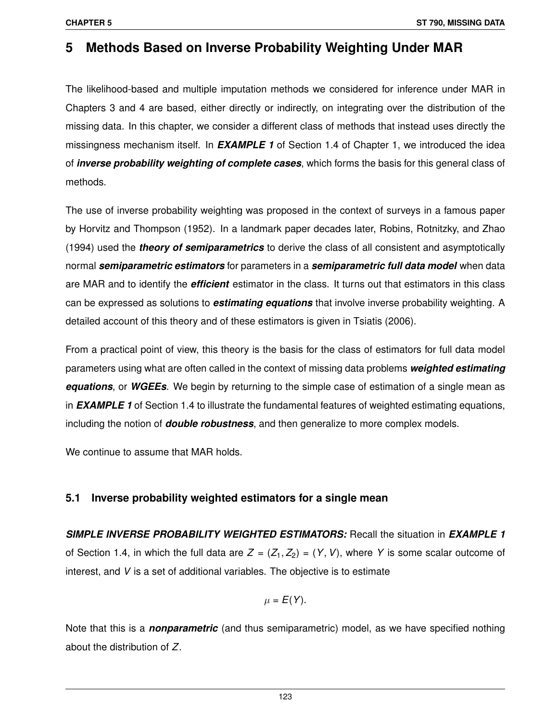# **5 Methods Based on Inverse Probability Weighting Under MAR**

The likelihood-based and multiple imputation methods we considered for inference under MAR in Chapters 3 and 4 are based, either directly or indirectly, on integrating over the distribution of the missing data. In this chapter, we consider a different class of methods that instead uses directly the missingness mechanism itself. In *EXAMPLE 1* of Section 1.4 of Chapter 1, we introduced the idea of *inverse probability weighting of complete cases*, which forms the basis for this general class of methods.

The use of inverse probability weighting was proposed in the context of surveys in a famous paper by Horvitz and Thompson (1952). In a landmark paper decades later, Robins, Rotnitzky, and Zhao (1994) used the *theory of semiparametrics* to derive the class of all consistent and asymptotically normal *semiparametric estimators* for parameters in a *semiparametric full data model* when data are MAR and to identify the *efficient* estimator in the class. It turns out that estimators in this class can be expressed as solutions to *estimating equations* that involve inverse probability weighting. A detailed account of this theory and of these estimators is given in Tsiatis (2006).

From a practical point of view, this theory is the basis for the class of estimators for full data model parameters using what are often called in the context of missing data problems *weighted estimating equations*, or *WGEEs*. We begin by returning to the simple case of estimation of a single mean as in *EXAMPLE 1* of Section 1.4 to illustrate the fundamental features of weighted estimating equations, including the notion of *double robustness*, and then generalize to more complex models.

We continue to assume that MAR holds.

# **5.1 Inverse probability weighted estimators for a single mean**

*SIMPLE INVERSE PROBABILITY WEIGHTED ESTIMATORS:* Recall the situation in *EXAMPLE 1* of Section 1.4, in which the full data are  $Z = (Z_1, Z_2) = (Y, V)$ , where Y is some scalar outcome of interest, and *V* is a set of additional variables. The objective is to estimate

$$
\mu = E(Y).
$$

Note that this is a *nonparametric* (and thus semiparametric) model, as we have specified nothing about the distribution of *Z*.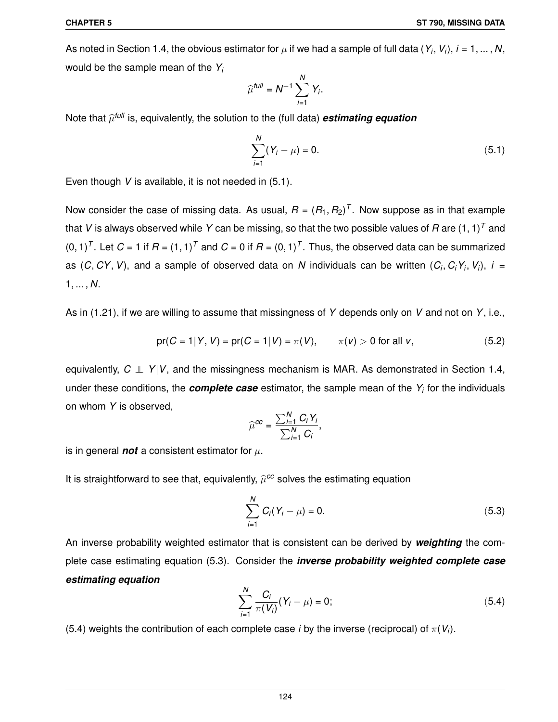As noted in Section 1.4, the obvious estimator for  $\mu$  if we had a sample of full data (*Y<sub>i</sub>, V<sub>i</sub>), i =* 1, … , N, would be the sample mean of the *Y<sup>i</sup>*

$$
\widehat{\mu}^{\text{full}} = N^{-1} \sum_{i=1}^N Y_i.
$$

Note that  $\widehat{\mu}^{\textit{full}}$  is, equivalently, the solution to the (full data)  $\bm{estimating}$  equation

$$
\sum_{i=1}^{N} (Y_i - \mu) = 0. \tag{5.1}
$$

Even though *V* is available, it is not needed in (5.1).

Now consider the case of missing data. As usual,  $R = (R_1, R_2)^T$ . Now suppose as in that example that *V* is always observed while *Y* can be missing, so that the two possible values of *R* are (1, 1)*<sup>T</sup>* and  $(0, 1)^T$ . Let  $C = 1$  if  $R = (1, 1)^T$  and  $C = 0$  if  $R = (0, 1)^T$ . Thus, the observed data can be summarized as  $(C, CY, V)$ , and a sample of observed data on  $N$  individuals can be written  $(C_i, C_iY_i, V_i)$ ,  $i =$ 1, ... , *N*.

As in (1.21), if we are willing to assume that missingness of *Y* depends only on *V* and not on *Y*, i.e.,

$$
pr(C = 1 | Y, V) = pr(C = 1 | V) = \pi(V), \qquad \pi(v) > 0 \text{ for all } v,
$$
 (5.2)

equivalently, *C* ⊥⊥ *Y*|*V*, and the missingness mechanism is MAR. As demonstrated in Section 1.4, under these conditions, the *complete case* estimator, the sample mean of the *Y<sup>i</sup>* for the individuals on whom *Y* is observed,

$$
\widehat{\mu}^{cc} = \frac{\sum_{i=1}^N C_i Y_i}{\sum_{i=1}^N C_i},
$$

is in general **not** a consistent estimator for  $\mu$ .

It is straightforward to see that, equivalently,  $\widehat{\mu}^{cc}$  solves the estimating equation

$$
\sum_{i=1}^{N} C_i (Y_i - \mu) = 0. \tag{5.3}
$$

An inverse probability weighted estimator that is consistent can be derived by *weighting* the complete case estimating equation (5.3). Consider the *inverse probability weighted complete case estimating equation*

$$
\sum_{i=1}^{N} \frac{C_i}{\pi(V_i)} (Y_i - \mu) = 0; \tag{5.4}
$$

(5.4) weights the contribution of each complete case *i* by the inverse (reciprocal) of  $\pi(V_i)$ .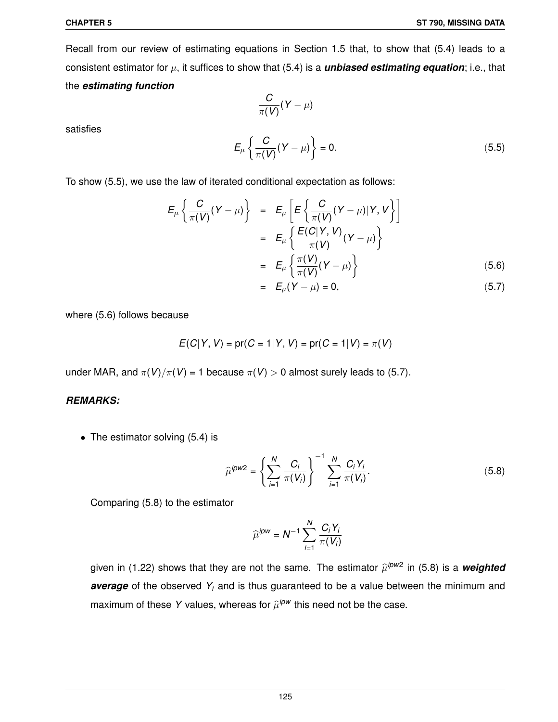Recall from our review of estimating equations in Section 1.5 that, to show that (5.4) leads to a consistent estimator for  $\mu$ , it suffices to show that (5.4) is a **unbiased estimating equation**; i.e., that the *estimating function*

 $\frac{\sigma}{\pi(V)}(Y-\mu)$ 

*C*

satisfies

$$
E_{\mu} \left\{ \frac{C}{\pi(V)} (Y - \mu) \right\} = 0. \tag{5.5}
$$

To show (5.5), we use the law of iterated conditional expectation as follows:

$$
E_{\mu} \left\{ \frac{C}{\pi(V)} (Y - \mu) \right\} = E_{\mu} \left[ E \left\{ \frac{C}{\pi(V)} (Y - \mu) | Y, V \right\} \right]
$$
  

$$
= E_{\mu} \left\{ \frac{E(C|Y, V)}{\pi(V)} (Y - \mu) \right\}
$$
  

$$
= E_{\mu} \left\{ \frac{\pi(V)}{\pi(V)} (Y - \mu) \right\}
$$
(5.6)

$$
= E_{\mu}(Y - \mu) = 0, \tag{5.7}
$$

where (5.6) follows because

$$
E(C|Y, V) = pr(C = 1|Y, V) = pr(C = 1|V) = \pi(V)
$$

under MAR, and  $\pi(V)/\pi(V) = 1$  because  $\pi(V) > 0$  almost surely leads to (5.7).

#### *REMARKS:*

• The estimator solving (5.4) is

$$
\widehat{\mu}^{ipw2} = \left\{ \sum_{i=1}^{N} \frac{C_i}{\pi(V_i)} \right\}^{-1} \sum_{i=1}^{N} \frac{C_i Y_i}{\pi(V_i)}.
$$
\n(5.8)

Comparing (5.8) to the estimator

$$
\widehat{\mu}^{ipw} = N^{-1} \sum_{i=1}^N \frac{C_i Y_i}{\pi(V_i)}
$$

given in (1.22) shows that they are not the same. The estimator  $\widehat{\mu}^{ipw2}$  in (5.8) is a *weighted average* of the observed *Y<sup>i</sup>* and is thus guaranteed to be a value between the minimum and maximum of these Y values, whereas for  $\widehat{\mu}^{ipw}$  this need not be the case.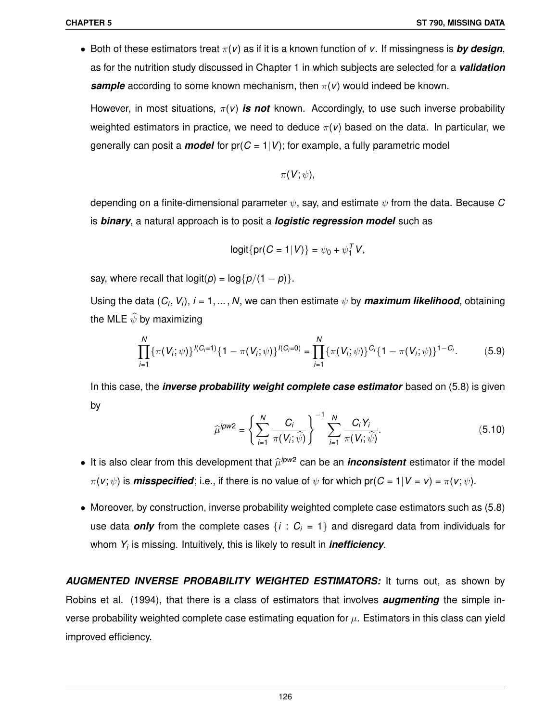• Both of these estimators treat  $\pi(v)$  as if it is a known function of *v*. If missingness is **by design**, as for the nutrition study discussed in Chapter 1 in which subjects are selected for a *validation* **sample** according to some known mechanism, then  $\pi(\mathbf{v})$  would indeed be known.

However, in most situations, π(*v*) *is not* known. Accordingly, to use such inverse probability weighted estimators in practice, we need to deduce  $\pi(\mathbf{v})$  based on the data. In particular, we generally can posit a *model* for  $pr(C = 1|V)$ ; for example, a fully parametric model

$$
\pi(V;\psi),
$$

depending on a finite-dimensional parameter ψ, say, and estimate ψ from the data. Because *C* is *binary*, a natural approach is to posit a *logistic regression model* such as

$$
logit{{pr(C = 1|V)} = \psi_0 + \psi_1^TV,
$$

say, where recall that  $logit(p) = log{p/(1-p)}$ .

Using the data  $(C_i, V_i)$ ,  $i = 1, ..., N$ , we can then estimate  $\psi$  by *maximum likelihood*, obtaining the MLE  $\widehat{\psi}$  by maximizing

$$
\prod_{i=1}^{N} \{\pi(V_i; \psi)\}^{I(C_i=1)} \{1-\pi(V_i; \psi)\}^{I(C_i=0)} = \prod_{i=1}^{N} \{\pi(V_i; \psi)\}^{C_i} \{1-\pi(V_i; \psi)\}^{1-C_i}.
$$
 (5.9)

In this case, the *inverse probability weight complete case estimator* based on (5.8) is given by

$$
\widehat{\mu}^{ipw2} = \left\{ \sum_{i=1}^{N} \frac{C_i}{\pi(V_i; \widehat{\psi})} \right\}^{-1} \sum_{i=1}^{N} \frac{C_i Y_i}{\pi(V_i; \widehat{\psi})}.
$$
\n(5.10)

- $\bullet$  It is also clear from this development that  $\widehat{\mu}^{ipw2}$  can be an *inconsistent* estimator if the model  $\pi(v; \psi)$  is **misspecified**; i.e., if there is no value of  $\psi$  for which pr( $C = 1 | V = v$ ) =  $\pi(v; \psi)$ .
- Moreover, by construction, inverse probability weighted complete case estimators such as (5.8) use data **only** from the complete cases  $\{i : C_i = 1\}$  and disregard data from individuals for whom *Y<sup>i</sup>* is missing. Intuitively, this is likely to result in *inefficiency*.

*AUGMENTED INVERSE PROBABILITY WEIGHTED ESTIMATORS:* It turns out, as shown by Robins et al. (1994), that there is a class of estimators that involves *augmenting* the simple inverse probability weighted complete case estimating equation for  $\mu$ . Estimators in this class can yield improved efficiency.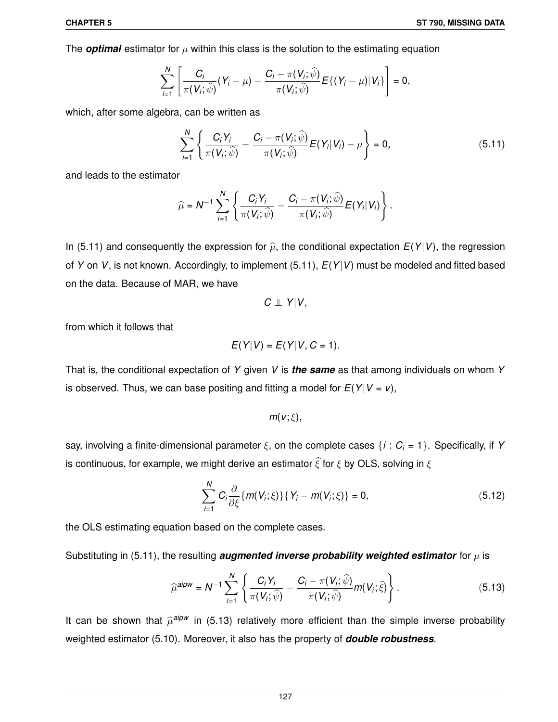The *optimal* estimator for  $\mu$  within this class is the solution to the estimating equation

$$
\sum_{i=1}^N \left[ \frac{C_i}{\pi(V_i; \widehat{\psi})} (Y_i - \mu) - \frac{C_i - \pi(V_i; \widehat{\psi})}{\pi(V_i; \widehat{\psi})} E\{ (Y_i - \mu) | V_i \} \right] = 0,
$$

which, after some algebra, can be written as

$$
\sum_{i=1}^N \left\{ \frac{C_i Y_i}{\pi(V_i; \widehat{\psi})} - \frac{C_i - \pi(V_i; \widehat{\psi})}{\pi(V_i; \widehat{\psi})} E(Y_i | V_i) - \mu \right\} = 0, \qquad (5.11)
$$

and leads to the estimator

$$
\widehat{\mu} = N^{-1} \sum_{i=1}^N \left\{ \frac{C_i Y_i}{\pi(V_i; \widehat{\psi})} - \frac{C_i - \pi(V_i; \widehat{\psi})}{\pi(V_i; \widehat{\psi})} E(Y_i | V_i) \right\}.
$$

In (5.11) and consequently the expression for  $\hat{\mu}$ , the conditional expectation  $E(Y|V)$ , the regression of *Y* on *V*, is not known. Accordingly, to implement (5.11), *E*(*Y*|*V*) must be modeled and fitted based on the data. Because of MAR, we have

$$
C \perp\!\!\!\perp Y|V,
$$

from which it follows that

$$
E(Y|V) = E(Y|V, C = 1).
$$

That is, the conditional expectation of *Y* given *V* is *the same* as that among individuals on whom *Y* is observed. Thus, we can base positing and fitting a model for  $E(Y|V = v)$ ,

$$
m(v;\xi),
$$

say, involving a finite-dimensional parameter ξ, on the complete cases {*i* : *C<sup>i</sup>* = 1}. Specifically, if *Y* is continuous, for example, we might derive an estimator  $\hat{\xi}$  for  $\xi$  by OLS, solving in  $\xi$ 

$$
\sum_{i=1}^{N} C_i \frac{\partial}{\partial \xi} \{ m(V_i; \xi) \} \{ Y_i - m(V_i; \xi) \} = 0, \qquad (5.12)
$$

the OLS estimating equation based on the complete cases.

Substituting in (5.11), the resulting *augmented inverse probability weighted estimator* for  $\mu$  is

$$
\widehat{\mu}^{aipw} = N^{-1} \sum_{i=1}^{N} \left\{ \frac{C_i Y_i}{\pi(V_i; \widehat{\psi})} - \frac{C_i - \pi(V_i; \widehat{\psi})}{\pi(V_i; \widehat{\psi})} m(V_i; \widehat{\xi}) \right\}.
$$
\n(5.13)

It can be shown that  $\widehat{\mu}^{aipw}$  in (5.13) relatively more efficient than the simple inverse probability weighted estimator (5.10). Moreover, it also has the property of *double robustness*.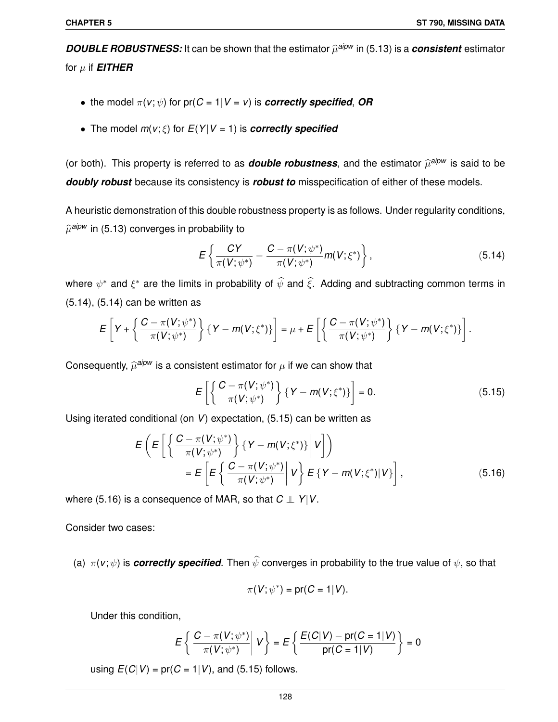$\bm{DOUBLE}$  **ROBUSTNESS:** It can be shown that the estimator  $\widehat{\mu}^{aipw}$  in (5.13) is a *consistent* estimator for  $\mu$  if **EITHER** 

- the model  $\pi(v; \psi)$  for  $pr(C = 1 | V = v)$  is *correctly specified*, *OR*
- The model  $m(v; \xi)$  for  $E(Y|V = 1)$  is *correctly specified*

(or both). This property is referred to as *double robustness*, and the estimator  $\widehat{\mu}^{aipw}$  is said to be *doubly robust* because its consistency is *robust to* misspecification of either of these models.

A heuristic demonstration of this double robustness property is as follows. Under regularity conditions,  $\widehat{\mu}^{aipw}$  in (5.13) converges in probability to

$$
E\left\{\frac{CY}{\pi(V;\psi^*)}-\frac{C-\pi(V;\psi^*)}{\pi(V;\psi^*)}m(V;\xi^*)\right\},\qquad(5.14)
$$

where  $\psi^*$  and  $\xi^*$  are the limits in probability of  $\widehat{\psi}$  and  $\widehat{\xi}$ . Adding and subtracting common terms in (5.14), (5.14) can be written as

$$
E\left[Y+\left\{\frac{C-\pi(V;\psi^*)}{\pi(V;\psi^*)}\right\}\left\{Y-m(V;\xi^*)\right\}\right]=\mu+E\left[\left\{\frac{C-\pi(V;\psi^*)}{\pi(V;\psi^*)}\right\}\left\{Y-m(V;\xi^*)\right\}\right].
$$

Consequently,  $\widehat{\mu}^{aipw}$  is a consistent estimator for  $\mu$  if we can show that

$$
E\left[\left\{\frac{C-\pi(V;\psi^*)}{\pi(V;\psi^*)}\right\}\left\{Y-m(V;\xi^*)\right\}\right]=0.
$$
\n(5.15)

Using iterated conditional (on *V*) expectation, (5.15) can be written as

$$
E\left(E\left[\left\{\frac{C-\pi(V;\psi^*)}{\pi(V;\psi^*)}\right\}\{Y-m(V;\xi^*)\}\middle|V\right]\right)\right]
$$
  
= 
$$
E\left[E\left\{\frac{C-\pi(V;\psi^*)}{\pi(V;\psi^*)}\middle|V\right\}E\{Y-m(V;\xi^*)\middle|V\right],
$$
 (5.16)

where (5.16) is a consequence of MAR, so that  $C ⊥ Y|V$ .

Consider two cases:

(a)  $\pi$ (*v*;  $\psi$ ) is *correctly specified*. Then  $\widehat{\psi}$  converges in probability to the true value of  $\psi$ , so that

$$
\pi(V; \psi^*) = \text{pr}(C = 1|V).
$$

Under this condition,

$$
E\left\{\left.\frac{C-\pi(V;\psi^*)}{\pi(V;\psi^*)}\right|V\right\}=E\left\{\frac{E(C|V)-\text{pr}(C=1|V)}{\text{pr}(C=1|V)}\right\}=0
$$

using  $E(C|V) = pr(C = 1|V)$ , and (5.15) follows.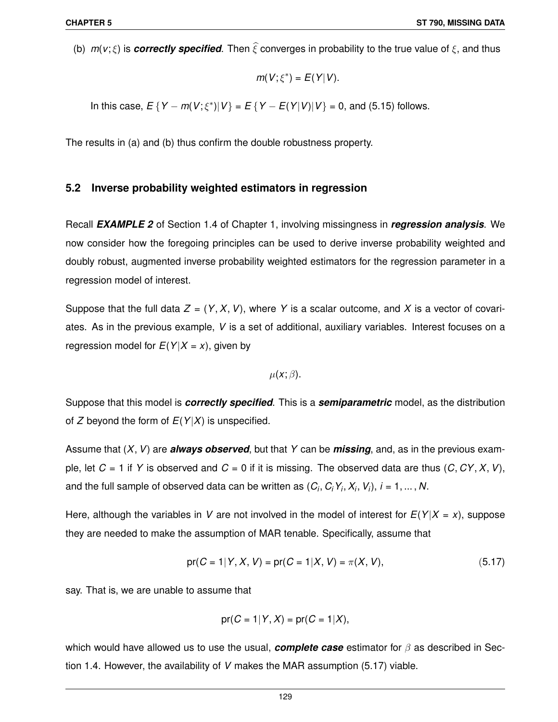(b)  $m(v;\xi)$  is *correctly specified*. Then  $\hat{\xi}$  converges in probability to the true value of  $\xi$ , and thus

$$
m(V;\xi^*)=E(Y|V).
$$

In this case,  $E \{ Y - m(V; \xi^*) | V \} = E \{ Y - E(Y|V) | V \} = 0$ , and (5.15) follows.

The results in (a) and (b) thus confirm the double robustness property.

#### **5.2 Inverse probability weighted estimators in regression**

Recall *EXAMPLE 2* of Section 1.4 of Chapter 1, involving missingness in *regression analysis*. We now consider how the foregoing principles can be used to derive inverse probability weighted and doubly robust, augmented inverse probability weighted estimators for the regression parameter in a regression model of interest.

Suppose that the full data  $Z = (Y, X, V)$ , where Y is a scalar outcome, and X is a vector of covariates. As in the previous example, *V* is a set of additional, auxiliary variables. Interest focuses on a regression model for  $E(Y|X=x)$ , given by

 $\mu(x;\beta)$ .

Suppose that this model is *correctly specified*. This is a *semiparametric* model, as the distribution of *Z* beyond the form of *E*(*Y*|*X*) is unspecified.

Assume that (*X*,*V*) are *always observed*, but that *Y* can be *missing*, and, as in the previous example, let  $C = 1$  if Y is observed and  $C = 0$  if it is missing. The observed data are thus  $(C, CY, X, V)$ , and the full sample of observed data can be written as  $(C_i, C_iY_i, X_i, V_i), i = 1, ..., N$ .

Here, although the variables in *V* are not involved in the model of interest for  $E(Y|X = x)$ , suppose they are needed to make the assumption of MAR tenable. Specifically, assume that

$$
pr(C = 1 | Y, X, V) = pr(C = 1 | X, V) = \pi(X, V),
$$
\n(5.17)

say. That is, we are unable to assume that

$$
pr(C = 1 | Y, X) = pr(C = 1 | X),
$$

which would have allowed us to use the usual, *complete case* estimator for β as described in Section 1.4. However, the availability of *V* makes the MAR assumption (5.17) viable.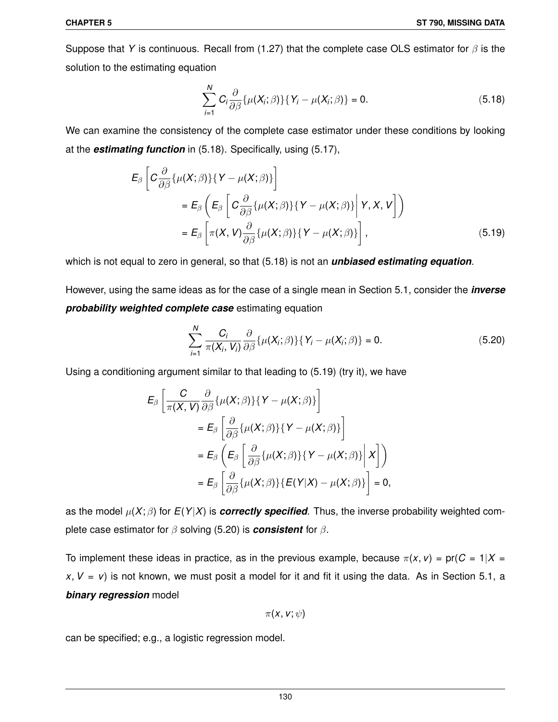Suppose that *Y* is continuous. Recall from (1.27) that the complete case OLS estimator for  $\beta$  is the solution to the estimating equation

$$
\sum_{i=1}^{N} C_i \frac{\partial}{\partial \beta} \{ \mu(X_i; \beta) \} \{ Y_i - \mu(X_i; \beta) \} = 0.
$$
 (5.18)

We can examine the consistency of the complete case estimator under these conditions by looking at the *estimating function* in (5.18). Specifically, using (5.17),

$$
E_{\beta}\left[C\frac{\partial}{\partial\beta}\{\mu(X;\beta)\}\{Y-\mu(X;\beta)\}\right]
$$
  
\n
$$
=E_{\beta}\left(E_{\beta}\left[C\frac{\partial}{\partial\beta}\{\mu(X;\beta)\}\{Y-\mu(X;\beta)\}\Big|Y,X,V\right]\right)
$$
  
\n
$$
=E_{\beta}\left[\pi(X,V)\frac{\partial}{\partial\beta}\{\mu(X;\beta)\}\{Y-\mu(X;\beta)\}\right],
$$
\n(5.19)

which is not equal to zero in general, so that (5.18) is not an *unbiased estimating equation*.

However, using the same ideas as for the case of a single mean in Section 5.1, consider the *inverse probability weighted complete case* estimating equation

$$
\sum_{i=1}^{N} \frac{C_i}{\pi(X_i, V_i)} \frac{\partial}{\partial \beta} \{\mu(X_i; \beta)\} \{Y_i - \mu(X_i; \beta)\} = 0.
$$
 (5.20)

Using a conditioning argument similar to that leading to (5.19) (try it), we have

$$
E_{\beta}\left[\frac{C}{\pi(X,V)}\frac{\partial}{\partial\beta}\{\mu(X;\beta)\}\{Y-\mu(X;\beta)\}\right]
$$
  
\n
$$
=E_{\beta}\left[\frac{\partial}{\partial\beta}\{\mu(X;\beta)\}\{Y-\mu(X;\beta)\}\right]
$$
  
\n
$$
=E_{\beta}\left(E_{\beta}\left[\frac{\partial}{\partial\beta}\{\mu(X;\beta)\}\{Y-\mu(X;\beta)\}\Big|X\right]\right)
$$
  
\n
$$
=E_{\beta}\left[\frac{\partial}{\partial\beta}\{\mu(X;\beta)\}\{E(Y|X)-\mu(X;\beta)\}\right]=0,
$$

as the model  $\mu(X;\beta)$  for  $E(Y|X)$  is **correctly specified**. Thus, the inverse probability weighted complete case estimator for β solving (5.20) is *consistent* for β.

To implement these ideas in practice, as in the previous example, because  $\pi(x, v) = \text{pr}(C = 1 | X =$  $x, V = v$ ) is not known, we must posit a model for it and fit it using the data. As in Section 5.1, a *binary regression* model

$$
\pi(\mathsf{x},\mathsf{v};\psi)
$$

can be specified; e.g., a logistic regression model.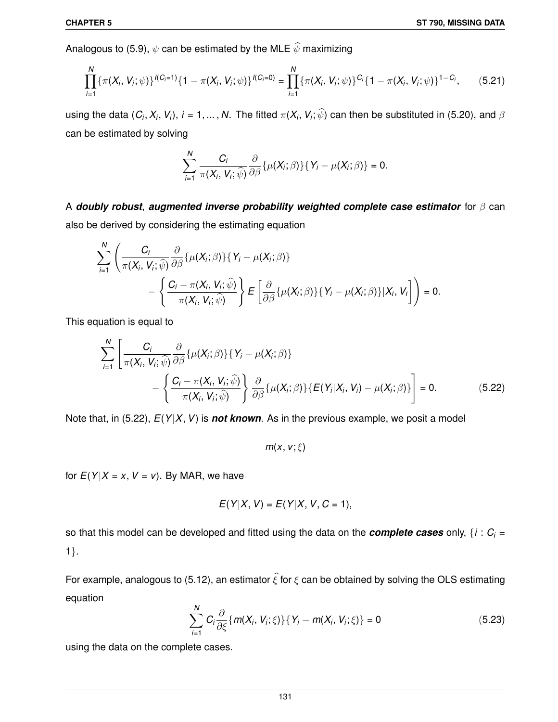Analogous to (5.9),  $\psi$  can be estimated by the MLE  $\widehat{\psi}$  maximizing

$$
\prod_{i=1}^N \{\pi(X_i, V_i; \psi)\}^{I(C_i=1)} \{1-\pi(X_i, V_i; \psi)\}^{I(C_i=0)} = \prod_{i=1}^N \{\pi(X_i, V_i; \psi)\}^{C_i} \{1-\pi(X_i, V_i; \psi)\}^{1-C_i},
$$
(5.21)

using the data  $(C_i, X_i, V_i)$ ,  $i = 1, ..., N$ . The fitted  $\pi(X_i, V_i; \psi)$  can then be substituted in (5.20), and  $\beta$ can be estimated by solving

$$
\sum_{i=1}^N \frac{C_i}{\pi(X_i, V_i; \widehat{\psi})} \frac{\partial}{\partial \beta} \{\mu(X_i; \beta)\} \{Y_i - \mu(X_i; \beta)\} = 0.
$$

A *doubly robust*, *augmented inverse probability weighted complete case estimator* for β can also be derived by considering the estimating equation

$$
\sum_{i=1}^{N} \left( \frac{C_i}{\pi(X_i, V_i; \widehat{\psi})} \frac{\partial}{\partial \beta} \{ \mu(X_i; \beta) \} \{ Y_i - \mu(X_i; \beta) \} - \left\{ \frac{C_i - \pi(X_i, V_i; \widehat{\psi})}{\pi(X_i, V_i; \widehat{\psi})} \right\} E \left[ \frac{\partial}{\partial \beta} \{ \mu(X_i; \beta) \} \{ Y_i - \mu(X_i; \beta) \} | X_i, V_i \right] \right) = 0.
$$

This equation is equal to

$$
\sum_{i=1}^{N} \left[ \frac{C_i}{\pi(X_i, V_i; \widehat{\psi})} \frac{\partial}{\partial \beta} \{ \mu(X_i; \beta) \} \{ Y_i - \mu(X_i; \beta) \} - \left\{ \frac{C_i - \pi(X_i, V_i; \widehat{\psi})}{\pi(X_i, V_i; \widehat{\psi})} \right\} \frac{\partial}{\partial \beta} \{ \mu(X_i; \beta) \} \{ E(Y_i | X_i, V_i) - \mu(X_i; \beta) \} \right] = 0.
$$
 (5.22)

Note that, in (5.22), *E*(*Y*|*X*,*V*) is *not known*. As in the previous example, we posit a model

$$
m(x, v; \xi)
$$

for  $E(Y|X = x, V = v)$ . By MAR, we have

$$
E(Y|X, V) = E(Y|X, V, C = 1),
$$

so that this model can be developed and fitted using the data on the *complete cases* only, { $i : C_i =$ 1}.

For example, analogous to (5.12), an estimator  $\hat{\xi}$  for  $\xi$  can be obtained by solving the OLS estimating equation

$$
\sum_{i=1}^{N} C_{i} \frac{\partial}{\partial \xi} \{ m(X_{i}, V_{i}; \xi) \} \{ Y_{i} - m(X_{i}, V_{i}; \xi) \} = 0
$$
\n(5.23)

using the data on the complete cases.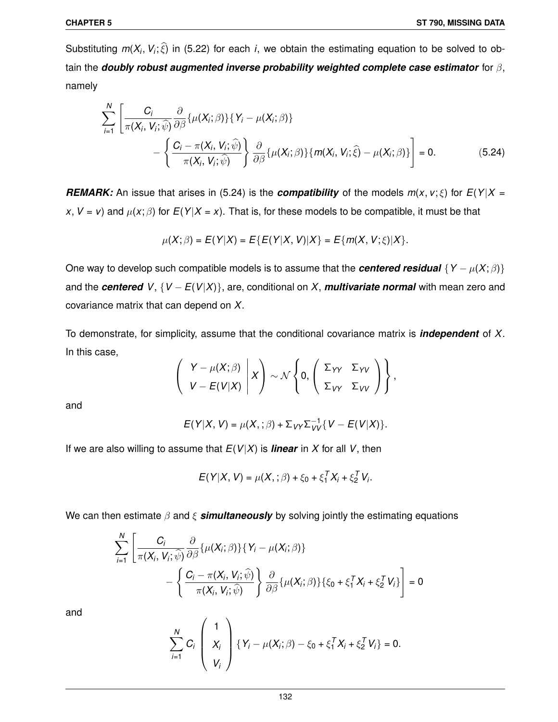Substituting  $m(X_i, V_i; \xi)$  in (5.22) for each *i*, we obtain the estimating equation to be solved to obtain the *doubly robust augmented inverse probability weighted complete case estimator* for β, namely

$$
\sum_{i=1}^{N} \left[ \frac{C_i}{\pi(X_i, V_i; \widehat{\psi})} \frac{\partial}{\partial \beta} \{ \mu(X_i; \beta) \} \{ Y_i - \mu(X_i; \beta) \} - \left\{ \frac{C_i - \pi(X_i, V_i; \widehat{\psi})}{\pi(X_i, V_i; \widehat{\psi})} \right\} \frac{\partial}{\partial \beta} \{ \mu(X_i; \beta) \} \{ m(X_i, V_i; \widehat{\xi}) - \mu(X_i; \beta) \} \right] = 0.
$$
 (5.24)

*REMARK:* An issue that arises in (5.24) is the *compatibility* of the models  $m(x, v; \xi)$  for  $E(Y|X =$ *x*, *V* = *v*) and  $\mu$ (*x*;  $\beta$ ) for *E*(*Y*|*X* = *x*). That is, for these models to be compatible, it must be that

$$
\mu(X; \beta) = E(Y|X) = E\{E(Y|X, V)|X\} = E\{m(X, V; \xi)|X\}.
$$

One way to develop such compatible models is to assume that the **centered residual**  $\{Y - \mu(X; \beta)\}$ and the **centered**  $V$ ,  $\{V - E(V|X)\}$ , are, conditional on X, **multivariate normal** with mean zero and covariance matrix that can depend on *X*.

To demonstrate, for simplicity, assume that the conditional covariance matrix is *independent* of *X*. In this case,

$$
\left(\begin{array}{c|c} Y-\mu(X;\beta) & X \\ V-E(V|X) & Y \end{array}\right) \sim \mathcal{N}\left\{0, \left(\begin{array}{cc} \Sigma_{YY} & \Sigma_{YV} \\ \Sigma_{VY} & \Sigma_{VV} \end{array}\right)\right\},
$$

and

$$
E(Y|X,V)=\mu(X,\,;\beta)+\Sigma_{VY}\Sigma_{VV}^{-1}\big\{V-E(V|X)\big\}.
$$

If we are also willing to assume that  $E(V|X)$  is **linear** in X for all V, then

$$
E(Y|X, V) = \mu(X, \cdot; \beta) + \xi_0 + \xi_1^T X_i + \xi_2^T V_i.
$$

We can then estimate  $\beta$  and  $\xi$  **simultaneously** by solving jointly the estimating equations

$$
\sum_{i=1}^{N} \left[ \frac{C_i}{\pi(X_i, V_i; \widehat{\psi})} \frac{\partial}{\partial \beta} \{ \mu(X_i; \beta) \} \{ Y_i - \mu(X_i; \beta) \} - \left\{ \frac{C_i - \pi(X_i, V_i; \widehat{\psi})}{\pi(X_i, V_i; \widehat{\psi})} \right\} \frac{\partial}{\partial \beta} \{ \mu(X_i; \beta) \} \{ \xi_0 + \xi_1^T X_i + \xi_2^T V_i \} \right] = 0
$$

and

$$
\sum_{i=1}^{N} C_i \left( \begin{array}{c} 1 \\ X_i \\ V_i \end{array} \right) \{ Y_i - \mu(X_i; \beta) - \xi_0 + \xi_1^T X_i + \xi_2^T V_i \} = 0.
$$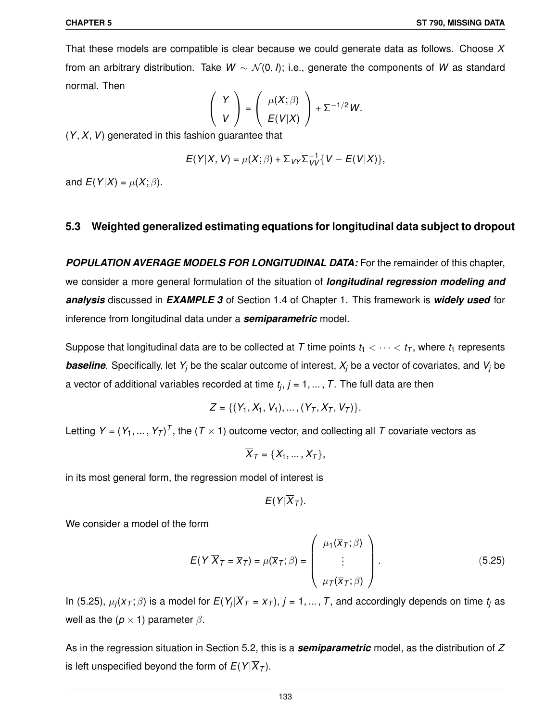That these models are compatible is clear because we could generate data as follows. Choose *X* from an arbitrary distribution. Take *W* ~  $\mathcal{N}(0, I)$ ; i.e., generate the components of *W* as standard normal. Then

$$
\left(\begin{array}{c} Y \\ V \end{array}\right)=\left(\begin{array}{c} \mu(X;\beta) \\ E(V|X) \end{array}\right)+\Sigma^{-1/2}W.
$$

(*Y*,*X*,*V*) generated in this fashion guarantee that

$$
E(Y|X, V) = \mu(X; \beta) + \sum_{VY} \sum_{VV}^{-1} \{V - E(V|X)\},
$$

and  $E(Y|X) = \mu(X; \beta)$ .

# **5.3 Weighted generalized estimating equations for longitudinal data subject to dropout**

*POPULATION AVERAGE MODELS FOR LONGITUDINAL DATA:* For the remainder of this chapter, we consider a more general formulation of the situation of *longitudinal regression modeling and analysis* discussed in *EXAMPLE 3* of Section 1.4 of Chapter 1. This framework is *widely used* for inference from longitudinal data under a *semiparametric* model.

Suppose that longitudinal data are to be collected at *T* time points  $t_1 < \cdots < t_T$ , where  $t_1$  represents *baseline*. Specifically, let *Y<sup>j</sup>* be the scalar outcome of interest, *X<sup>j</sup>* be a vector of covariates, and *V<sup>j</sup>* be a vector of additional variables recorded at time *t<sup>j</sup>* , *j* = 1, ... , *T*. The full data are then

$$
Z = \{ (Y_1, X_1, V_1), \ldots, (Y_T, X_T, V_T) \}.
$$

Letting  $Y = (Y_1, ..., Y_T)^T$ , the  $(T \times 1)$  outcome vector, and collecting all  $T$  covariate vectors as

$$
\overline{X}_T = \{X_1, \ldots, X_T\},\
$$

in its most general form, the regression model of interest is

 $E(Y|\overline{X}_{T})$ .

We consider a model of the form

$$
E(Y|\overline{X}_T = \overline{x}_T) = \mu(\overline{x}_T; \beta) = \begin{pmatrix} \mu_1(\overline{x}_T; \beta) \\ \vdots \\ \mu_T(\overline{x}_T; \beta) \end{pmatrix}.
$$
 (5.25)

In (5.25),  $\mu_j(\overline{x}_\mathcal{T};\beta)$  is a model for  $E(Y_j|X_\mathcal{T}=\overline{x}_\mathcal{T}),$   $j=1,...,T,$  and accordingly depends on time  $t_j$  as well as the  $(p \times 1)$  parameter  $\beta$ .

As in the regression situation in Section 5.2, this is a *semiparametric* model, as the distribution of *Z* is left unspecified beyond the form of  $E(Y|\overline{X}_T)$ .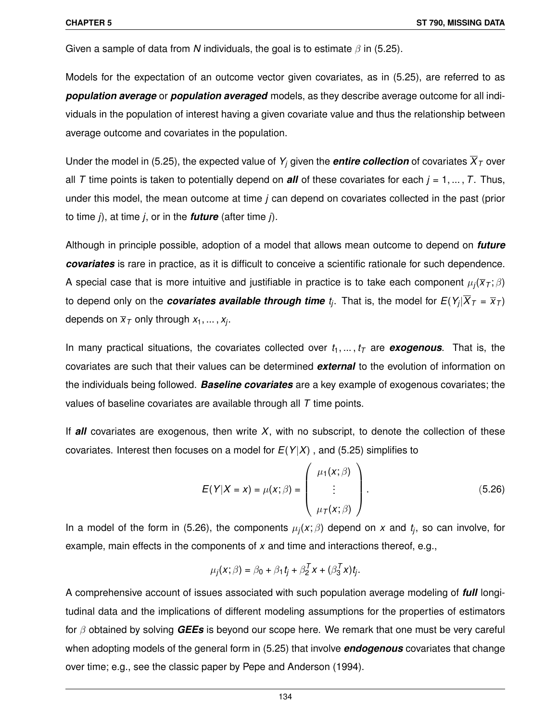Given a sample of data from *N* individuals, the goal is to estimate  $\beta$  in (5.25).

Models for the expectation of an outcome vector given covariates, as in (5.25), are referred to as *population average* or *population averaged* models, as they describe average outcome for all individuals in the population of interest having a given covariate value and thus the relationship between average outcome and covariates in the population.

Under the model in (5.25), the expected value of  $Y_i$  given the **entire collection** of covariates  $\overline{X}_T$  over all *T* time points is taken to potentially depend on **all** of these covariates for each  $j = 1, ..., T$ . Thus, under this model, the mean outcome at time *j* can depend on covariates collected in the past (prior to time *j*), at time *j*, or in the *future* (after time *j*).

Although in principle possible, adoption of a model that allows mean outcome to depend on *future covariates* is rare in practice, as it is difficult to conceive a scientific rationale for such dependence. A special case that is more intuitive and justifiable in practice is to take each component  $\mu_j(\overline{x}_\mathcal{T};\beta)$ to depend only on the *covariates available through time*  $t_j$ . That is, the model for  $E(Y_j | X_T = \overline{x}_T)$ depends on  $\overline{x}_{\mathcal{T}}$  only through  $x_1, \dots, x_j.$ 

In many practical situations, the covariates collected over  $t_1, \ldots, t_T$  are **exogenous**. That is, the covariates are such that their values can be determined *external* to the evolution of information on the individuals being followed. *Baseline covariates* are a key example of exogenous covariates; the values of baseline covariates are available through all *T* time points.

If *all* covariates are exogenous, then write *X*, with no subscript, to denote the collection of these covariates. Interest then focuses on a model for  $E(Y|X)$ , and (5.25) simplifies to

$$
E(Y|X = x) = \mu(x; \beta) = \begin{pmatrix} \mu_1(x; \beta) \\ \vdots \\ \mu_T(x; \beta) \end{pmatrix}.
$$
 (5.26)

In a model of the form in (5.26), the components µ*<sup>j</sup>* (*x*; β) depend on *x* and *t<sup>j</sup>* , so can involve, for example, main effects in the components of *x* and time and interactions thereof, e.g.,

$$
\mu_j(x;\beta)=\beta_0+\beta_1t_j+\beta_2^Tx+(\beta_3^Tx)t_j.
$$

A comprehensive account of issues associated with such population average modeling of *full* longitudinal data and the implications of different modeling assumptions for the properties of estimators for β obtained by solving *GEEs* is beyond our scope here. We remark that one must be very careful when adopting models of the general form in (5.25) that involve **endogenous** covariates that change over time; e.g., see the classic paper by Pepe and Anderson (1994).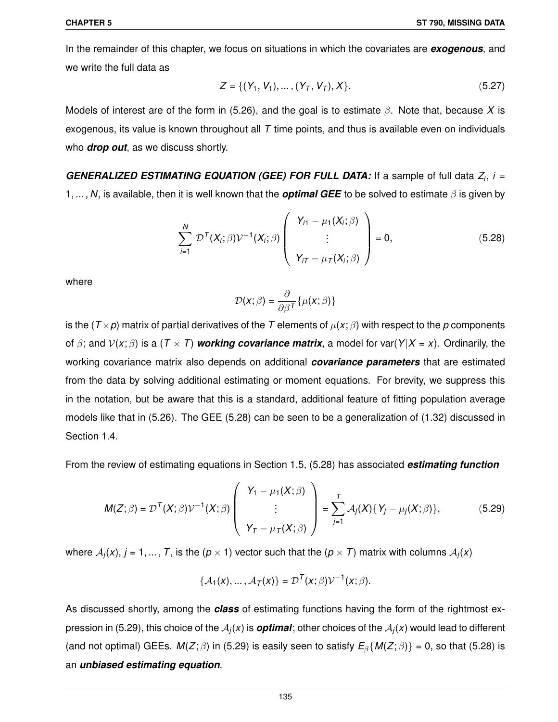In the remainder of this chapter, we focus on situations in which the covariates are *exogenous*, and we write the full data as

$$
Z = \{ (Y_1, V_1), \dots, (Y_T, V_T), X \}. \tag{5.27}
$$

Models of interest are of the form in (5.26), and the goal is to estimate β. Note that, because *X* is exogenous, its value is known throughout all *T* time points, and thus is available even on individuals who *drop out*, as we discuss shortly.

*GENERALIZED ESTIMATING EQUATION (GEE) FOR FULL DATA:* If a sample of full data *Z<sup>i</sup>* , *i* = 1, ... , *N*, is available, then it is well known that the *optimal GEE* to be solved to estimate β is given by

$$
\sum_{i=1}^{N} \mathcal{D}^{T}(X_{i}; \beta) \mathcal{V}^{-1}(X_{i}; \beta) \left(\begin{array}{c} Y_{i1} - \mu_{1}(X_{i}; \beta) \\ \vdots \\ Y_{iT} - \mu_{T}(X_{i}; \beta) \end{array}\right) = 0, \qquad (5.28)
$$

where

$$
\mathcal{D}(\boldsymbol{x};\beta) = \frac{\partial}{\partial \beta^T} \{ \mu(\boldsymbol{x};\beta) \}
$$

is the ( $T \times p$ ) matrix of partial derivatives of the *T* elements of  $\mu(x; \beta)$  with respect to the *p* components of  $\beta$ ; and  $V(x;\beta)$  is a ( $T \times T$ ) *working covariance matrix*, a model for var( $Y|X = x$ ). Ordinarily, the working covariance matrix also depends on additional *covariance parameters* that are estimated from the data by solving additional estimating or moment equations. For brevity, we suppress this in the notation, but be aware that this is a standard, additional feature of fitting population average models like that in (5.26). The GEE (5.28) can be seen to be a generalization of (1.32) discussed in Section 1.4.

From the review of estimating equations in Section 1.5, (5.28) has associated *estimating function*

$$
M(Z;\beta) = \mathcal{D}^{T}(X;\beta)\mathcal{V}^{-1}(X;\beta) \left( \begin{array}{c} Y_{1} - \mu_{1}(X;\beta) \\ \vdots \\ Y_{T} - \mu_{T}(X;\beta) \end{array} \right) = \sum_{j=1}^{T} \mathcal{A}_{j}(X)\{Y_{j} - \mu_{j}(X;\beta)\}, \tag{5.29}
$$

where  $\mathcal{A}_j(x),$   $j = 1, ... , T,$  is the ( $p \times 1$ ) vector such that the ( $p \times T$ ) matrix with columns  $\mathcal{A}_j(x)$ 

$$
\{\mathcal{A}_1(x),\ldots,\mathcal{A}_T(x)\}=\mathcal{D}^T(x;\beta)\mathcal{V}^{-1}(x;\beta).
$$

As discussed shortly, among the *class* of estimating functions having the form of the rightmost expression in (5.29), this choice of the  ${\cal A}_j(x)$  is  $\bm{optimal}$ ; other choices of the  ${\cal A}_j(x)$  would lead to different (and not optimal) GEEs.  $M(Z;\beta)$  in (5.29) is easily seen to satisfy  $E_\beta\{M(Z;\beta)\}=0$ , so that (5.28) is an *unbiased estimating equation*.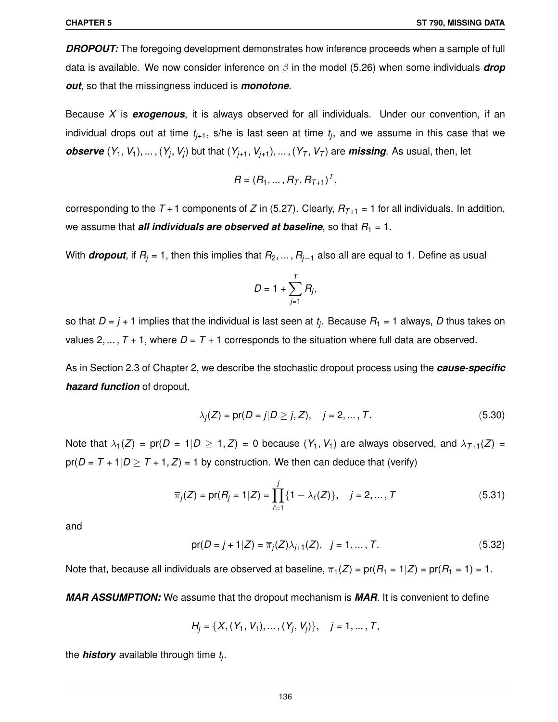**DROPOUT:** The foregoing development demonstrates how inference proceeds when a sample of full data is available. We now consider inference on β in the model (5.26) when some individuals *drop out*, so that the missingness induced is *monotone*.

Because *X* is *exogenous*, it is always observed for all individuals. Under our convention, if an individual drops out at time *tj*+1, s/he is last seen at time *t<sup>j</sup>* , and we assume in this case that we *observe*  $(Y_1, V_1), \ldots, (Y_j, V_j)$  but that  $(Y_{j+1}, V_{j+1}), \ldots, (Y_T, V_T)$  are *missing*. As usual, then, let

$$
R = (R_1, \ldots, R_T, R_{T+1})^T,
$$

corresponding to the  $T + 1$  components of *Z* in (5.27). Clearly,  $R_{T+1} = 1$  for all individuals. In addition, we assume that *all individuals are observed at baseline*, so that  $R_1 = 1$ .

With *dropout*, if  $R_j = 1$ , then this implies that  $R_2, \ldots, R_{j-1}$  also all are equal to 1. Define as usual

$$
D=1+\sum_{j=1}^T R_j,
$$

so that *D* = *j* + 1 implies that the individual is last seen at *t<sup>j</sup>* . Because *R*<sup>1</sup> = 1 always, *D* thus takes on values 2, ...,  $T + 1$ , where  $D = T + 1$  corresponds to the situation where full data are observed.

As in Section 2.3 of Chapter 2, we describe the stochastic dropout process using the *cause-specific hazard function* of dropout,

$$
\lambda_j(Z) = pr(D = j | D \ge j, Z), \quad j = 2, ..., T.
$$
\n(5.30)

Note that  $\lambda_1(Z) = \text{pr}(D = 1|D \ge 1, Z) = 0$  because  $(Y_1, V_1)$  are always observed, and  $\lambda_{T+1}(Z) =$  $pr(D = T + 1|D \geq T + 1, Z) = 1$  by construction. We then can deduce that (verify)

$$
\overline{\pi}_j(Z) = \text{pr}(R_j = 1 | Z) = \prod_{\ell=1}^j \{1 - \lambda_\ell(Z)\}, \quad j = 2, ..., T
$$
\n(5.31)

and

$$
pr(D = j + 1|Z) = \overline{\pi}_j(Z)\lambda_{j+1}(Z), \quad j = 1, ..., T.
$$
 (5.32)

Note that, because all individuals are observed at baseline,  $\overline{\pi}_1(Z) = \text{pr}(R_1 = 1|Z) = \text{pr}(R_1 = 1) = 1$ .

*MAR ASSUMPTION:* We assume that the dropout mechanism is *MAR*. It is convenient to define

$$
H_j = \{X, (Y_1, V_1), \dots, (Y_j, V_j)\}, \quad j = 1, \dots, T,
$$

the *history* available through time *t<sup>j</sup>* .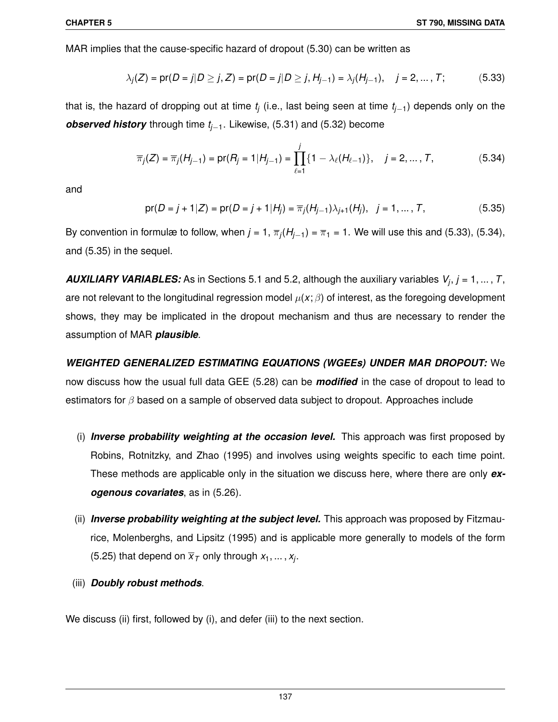MAR implies that the cause-specific hazard of dropout (5.30) can be written as

$$
\lambda_j(Z) = \text{pr}(D = j | D \ge j, Z) = \text{pr}(D = j | D \ge j, H_{j-1}) = \lambda_j(H_{j-1}), \quad j = 2, ..., T; \tag{5.33}
$$

that is, the hazard of dropping out at time *t<sup>j</sup>* (i.e., last being seen at time *tj*−1) depends only on the *observed history* through time *tj*−1. Likewise, (5.31) and (5.32) become

$$
\overline{\pi}_j(Z) = \overline{\pi}_j(H_{j-1}) = \text{pr}(R_j = 1 | H_{j-1}) = \prod_{\ell=1}^j \{1 - \lambda_\ell(H_{\ell-1})\}, \quad j = 2, ..., T,
$$
\n(5.34)

and

$$
\text{pr}(D = j + 1 | Z) = \text{pr}(D = j + 1 | H_j) = \overline{\pi}_j(H_{j-1}) \lambda_{j+1}(H_j), \quad j = 1, ..., T,
$$
 (5.35)

By convention in formulæ to follow, when  $j$  = 1,  $\overline{\pi}_j(H_{j-1})$  =  $\overline{\pi}_1$  = 1. We will use this and (5.33), (5.34), and (5.35) in the sequel.

*AUXILIARY VARIABLES:* As in Sections 5.1 and 5.2, although the auxiliary variables *V<sup>j</sup>* , *j* = 1, ... , *T*, are not relevant to the longitudinal regression model  $\mu(x;\beta)$  of interest, as the foregoing development shows, they may be implicated in the dropout mechanism and thus are necessary to render the assumption of MAR *plausible*.

*WEIGHTED GENERALIZED ESTIMATING EQUATIONS (WGEEs) UNDER MAR DROPOUT:* We now discuss how the usual full data GEE (5.28) can be *modified* in the case of dropout to lead to estimators for  $\beta$  based on a sample of observed data subject to dropout. Approaches include

- (i) *Inverse probability weighting at the occasion level.* This approach was first proposed by Robins, Rotnitzky, and Zhao (1995) and involves using weights specific to each time point. These methods are applicable only in the situation we discuss here, where there are only *exogenous covariates*, as in (5.26).
- (ii) *Inverse probability weighting at the subject level.* This approach was proposed by Fitzmaurice, Molenberghs, and Lipsitz (1995) and is applicable more generally to models of the form (5.25) that depend on  $\overline{x}_T$  only through  $x_1, ..., x_j$ .
- (iii) *Doubly robust methods*.

We discuss (ii) first, followed by (i), and defer (iii) to the next section.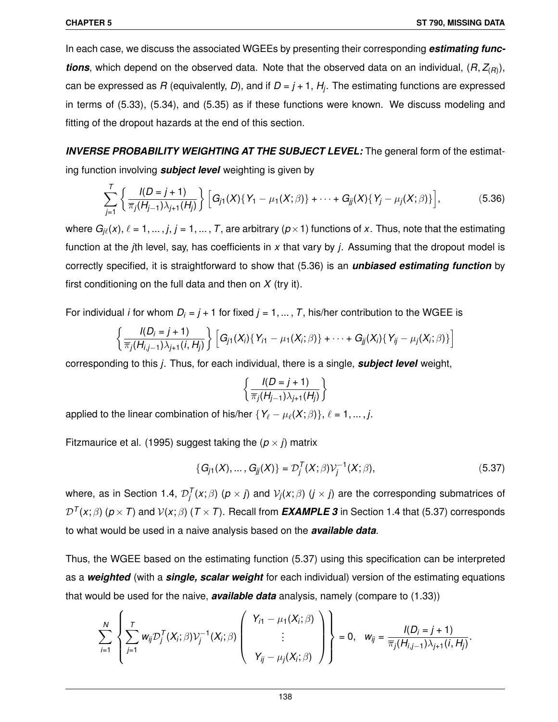In each case, we discuss the associated WGEEs by presenting their corresponding *estimating functions*, which depend on the observed data. Note that the observed data on an individual, (*R*, *Z*(*R*) ), can be expressed as *R* (equivalently, *D*), and if *D* = *j* + 1, *H<sup>j</sup>* . The estimating functions are expressed in terms of (5.33), (5.34), and (5.35) as if these functions were known. We discuss modeling and fitting of the dropout hazards at the end of this section.

*INVERSE PROBABILITY WEIGHTING AT THE SUBJECT LEVEL:* The general form of the estimating function involving *subject level* weighting is given by

$$
\sum_{j=1}^{T} \left\{ \frac{l(D=j+1)}{\overline{\pi}_j(H_{j-1})\lambda_{j+1}(H_j)} \right\} \left[ G_{j1}(X) \{ Y_1 - \mu_1(X;\beta) \} + \cdots + G_{jj}(X) \{ Y_j - \mu_j(X;\beta) \} \right],
$$
\n(5.36)

where  $G_{j\ell}(x),\,\ell=1,\dots,j,\,j=1,\dots,\,T,$  are arbitrary  $(p\!\times\!1)$  functions of  $x.$  Thus, note that the estimating function at the *j*th level, say, has coefficients in *x* that vary by *j*. Assuming that the dropout model is correctly specified, it is straightforward to show that (5.36) is an *unbiased estimating function* by first conditioning on the full data and then on *X* (try it).

For individual *i* for whom  $D_i = j + 1$  for fixed  $j = 1, ..., T$ , his/her contribution to the WGEE is

$$
\left\{\frac{I(D_i=j+1)}{\overline{\pi}_j(H_{i,j-1})\lambda_{j+1}(i,H_j)}\right\}\Big[G_{j1}(X_i)\{Y_{i1}-\mu_1(X_i;\beta)\}+\cdots+G_{jj}(X_i)\{Y_{ij}-\mu_j(X_i;\beta)\}\Big]
$$

corresponding to this *j*. Thus, for each individual, there is a single, *subject level* weight,

$$
\left\{\frac{l(D=j+1)}{\overline{\pi}_j(H_{j-1})\lambda_{j+1}(H_j)}\right\}
$$

applied to the linear combination of his/her  $\{Y_\ell - \mu_\ell(X;\beta)\}, \ell = 1, \ldots, j$ .

Fitzmaurice et al. (1995) suggest taking the  $(p \times i)$  matrix

$$
\{G_{j1}(X),...,G_{jj}(X)\} = \mathcal{D}_j^T(X;\beta)\mathcal{V}_j^{-1}(X;\beta),
$$
\n(5.37)

where, as in Section 1.4,  $\mathcal{D}_j^{\mathcal{T}}(x;\beta)$   $(p\times j)$  and  $\mathcal{V}_j(x;\beta)$   $(j\times j)$  are the corresponding submatrices of  $\mathcal{D}^{\mathcal{T}}(x;\beta)$  ( $p\times\mathcal{T})$  and  $\mathcal{V}(x;\beta)$  ( $\mathcal{T}\times\mathcal{T}$ ). Recall from  $\bm{EXAMPLE}$  3 in Section 1.4 that (5.37) corresponds to what would be used in a naive analysis based on the *available data*.

Thus, the WGEE based on the estimating function (5.37) using this specification can be interpreted as a *weighted* (with a *single, scalar weight* for each individual) version of the estimating equations that would be used for the naive, *available data* analysis, namely (compare to (1.33))

$$
\sum_{i=1}^N \left\{\sum_{j=1}^T w_{ij} \mathcal{D}_j^T(X_i;\beta) \mathcal{V}_j^{-1}(X_i;\beta) \left(\begin{array}{c} Y_{i1}-\mu_1(X_i;\beta) \\ \vdots \\ Y_{ij}-\mu_j(X_i;\beta) \end{array}\right) \right\} = 0, \quad w_{ij} = \frac{I(D_i=j+1)}{\overline{\pi}_j(H_{i,j-1})\lambda_{j+1}(i,H_j)}.
$$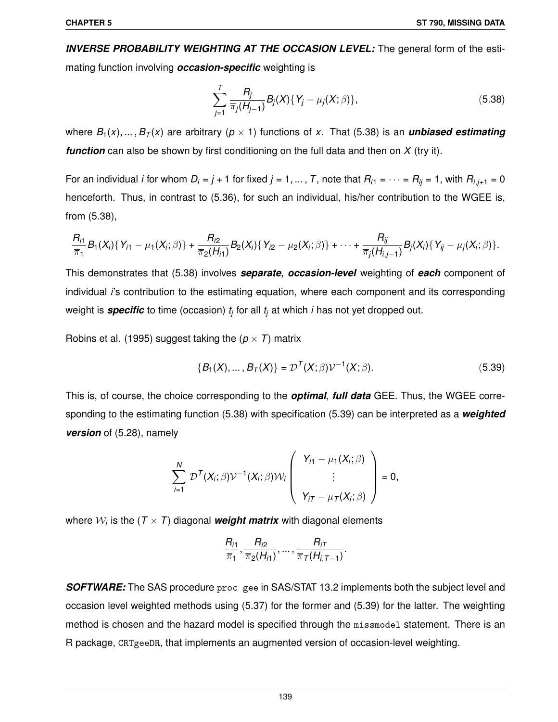*INVERSE PROBABILITY WEIGHTING AT THE OCCASION LEVEL:* The general form of the estimating function involving *occasion-specific* weighting is

$$
\sum_{j=1}^{T} \frac{R_j}{\pi_j(H_{j-1})} B_j(X) \{ Y_j - \mu_j(X; \beta) \},\tag{5.38}
$$

where  $B_1(x), \ldots, B_T(x)$  are arbitrary ( $p \times 1$ ) functions of x. That (5.38) is an *unbiased estimating function* can also be shown by first conditioning on the full data and then on *X* (try it).

For an individual *i* for whom  $D_i = j + 1$  for fixed  $j = 1, ..., T$ , note that  $R_{i1} = \cdots = R_{ij} = 1$ , with  $R_{i,j+1} = 0$ henceforth. Thus, in contrast to (5.36), for such an individual, his/her contribution to the WGEE is, from (5.38),

$$
\frac{R_{i1}}{\overline{\pi}_1}B_1(X_i)\{Y_{i1}-\mu_1(X_i;\beta)\}+\frac{R_{i2}}{\overline{\pi}_2(H_{i1})}B_2(X_i)\{Y_{i2}-\mu_2(X_i;\beta)\}+\cdots+\frac{R_{ij}}{\overline{\pi}_j(H_{i,j-1})}B_j(X_i)\{Y_{ij}-\mu_j(X_i;\beta)\}.
$$

This demonstrates that (5.38) involves *separate*, *occasion-level* weighting of *each* component of individual *i*'s contribution to the estimating equation, where each component and its corresponding weight is *specific* to time (occasion) *t<sup>j</sup>* for all *t<sup>j</sup>* at which *i* has not yet dropped out.

Robins et al. (1995) suggest taking the  $(p \times T)$  matrix

$$
\{B_1(X),...,B_T(X)\} = \mathcal{D}^T(X;\beta)\mathcal{V}^{-1}(X;\beta).
$$
 (5.39)

This is, of course, the choice corresponding to the *optimal*, *full data* GEE. Thus, the WGEE corresponding to the estimating function (5.38) with specification (5.39) can be interpreted as a *weighted version* of (5.28), namely

$$
\sum_{i=1}^N \mathcal{D}^T(X_i;\beta) \mathcal{V}^{-1}(X_i;\beta) \mathcal{W}_i \left( \begin{array}{c} Y_{i1} - \mu_1(X_i;\beta) \\ \vdots \\ Y_{iT} - \mu_T(X_i;\beta) \end{array} \right) = 0,
$$

where  $\mathcal{W}_i$  is the ( $\mathcal{T}\times\mathcal{T})$  diagonal  $\boldsymbol{weight}$  matrix with diagonal elements

$$
\frac{R_{i1}}{\overline{\pi}_1}, \frac{R_{i2}}{\overline{\pi}_2(H_{i1})}, \ldots, \frac{R_{iT}}{\overline{\pi}_T(H_{i,T-1})}.
$$

**SOFTWARE:** The SAS procedure proc gee in SAS/STAT 13.2 implements both the subject level and occasion level weighted methods using (5.37) for the former and (5.39) for the latter. The weighting method is chosen and the hazard model is specified through the missmodel statement. There is an R package, CRTgeeDR, that implements an augmented version of occasion-level weighting.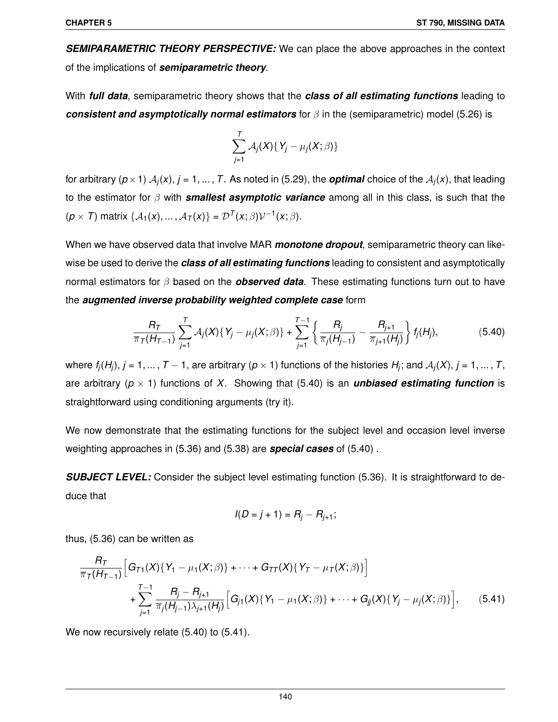*SEMIPARAMETRIC THEORY PERSPECTIVE:* We can place the above approaches in the context of the implications of *semiparametric theory*.

With *full data*, semiparametric theory shows that the *class of all estimating functions* leading to *consistent and asymptotically normal estimators* for β in the (semiparametric) model (5.26) is

$$
\sum_{j=1}^T \mathcal{A}_j(X) \{ Y_j - \mu_j(X; \beta) \}
$$

for arbitrary  $(p \times 1)$   $\mathcal{A}_j(x)$ ,  $j = 1, ...$  ,  $T$ . As noted in (5.29), the  $\bm{optimal}$  choice of the  $\mathcal{A}_j(x)$ , that leading to the estimator for β with *smallest asymptotic variance* among all in this class, is such that the  $(p \times T)$  matrix  $\{A_1(x),..., A_T(x)\} = \mathcal{D}^T(x;\beta)\mathcal{V}^{-1}(x;\beta).$ 

When we have observed data that involve MAR *monotone dropout*, semiparametric theory can likewise be used to derive the *class of all estimating functions* leading to consistent and asymptotically normal estimators for β based on the *observed data*. These estimating functions turn out to have the *augmented inverse probability weighted complete case* form

$$
\frac{R_T}{\overline{\pi}_T(H_{T-1})}\sum_{j=1}^T \mathcal{A}_j(X)\{Y_j-\mu_j(X;\beta)\}+\sum_{j=1}^{T-1}\left\{\frac{R_j}{\overline{\pi}_j(H_{j-1})}-\frac{R_{j+1}}{\overline{\pi}_{j+1}(H_j)}\right\}f_j(H_j),\tag{5.40}
$$

where  $f_j(H_j), j = 1, \ldots, T-1,$  are arbitrary ( $p \times 1$ ) functions of the histories  $H_j$ ; and  $\mathcal{A}_j(X), j = 1, \ldots, T,$ are arbitrary ( $p \times 1$ ) functions of *X*. Showing that (5.40) is an **unbiased estimating function** is straightforward using conditioning arguments (try it).

We now demonstrate that the estimating functions for the subject level and occasion level inverse weighting approaches in (5.36) and (5.38) are *special cases* of (5.40) .

**SUBJECT LEVEL:** Consider the subject level estimating function (5.36). It is straightforward to deduce that

$$
I(D = j + 1) = R_j - R_{j+1};
$$

thus, (5.36) can be written as

$$
\frac{R_T}{\pi_T(H_{T-1})} \Big[ G_{T1}(X) \{ Y_1 - \mu_1(X;\beta) \} + \cdots + G_{TT}(X) \{ Y_T - \mu_T(X;\beta) \} \Big] + \sum_{j=1}^{T-1} \frac{R_j - R_{j+1}}{\pi_j(H_{j-1}) \lambda_{j+1}(H_j)} \Big[ G_{j1}(X) \{ Y_1 - \mu_1(X;\beta) \} + \cdots + G_{jj}(X) \{ Y_j - \mu_j(X;\beta) \} \Big], \qquad (5.41)
$$

We now recursively relate (5.40) to (5.41).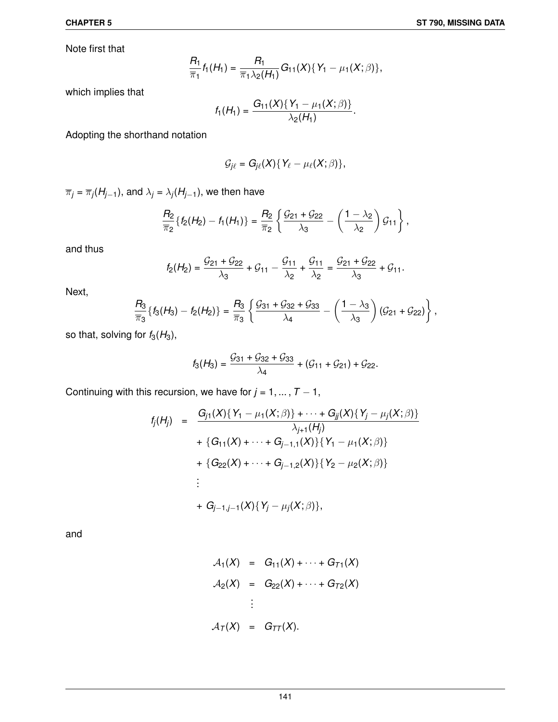Note first that

$$
\frac{R_1}{\overline{\pi}_1}f_1(H_1)=\frac{R_1}{\overline{\pi}_1\lambda_2(H_1)}G_{11}(X)\{Y_1-\mu_1(X;\beta)\},
$$

which implies that

$$
f_1(H_1)=\frac{G_{11}(X)\{Y_1-\mu_1(X;\beta)\}}{\lambda_2(H_1)}.
$$

Adopting the shorthand notation

$$
\mathcal{G}_{j\ell}=G_{j\ell}(X)\{Y_{\ell}-\mu_{\ell}(X;\beta)\},\,
$$

 $\overline{\pi}_j$  =  $\overline{\pi}_j(H_{j-1}),$  and  $\lambda_j$  =  $\lambda_j(H_{j-1}),$  we then have

$$
\frac{R_2}{\overline{\pi}_2}\left\{f_2(H_2)-f_1(H_1)\right\}=\frac{R_2}{\overline{\pi}_2}\left\{\frac{\mathcal{G}_{21}+\mathcal{G}_{22}}{\lambda_3}-\left(\frac{1-\lambda_2}{\lambda_2}\right)\mathcal{G}_{11}\right\},\,
$$

and thus

$$
f_2(H_2) = \frac{G_{21} + G_{22}}{\lambda_3} + G_{11} - \frac{G_{11}}{\lambda_2} + \frac{G_{11}}{\lambda_2} = \frac{G_{21} + G_{22}}{\lambda_3} + G_{11}.
$$

Next,

$$
\frac{R_3}{\overline{\pi}_3}\left\{f_3(H_3)-f_2(H_2)\right\}=\frac{R_3}{\overline{\pi}_3}\left\{\frac{\mathcal{G}_{31}+\mathcal{G}_{32}+\mathcal{G}_{33}}{\lambda_4}-\left(\frac{1-\lambda_3}{\lambda_3}\right)(\mathcal{G}_{21}+\mathcal{G}_{22})\right\},\,
$$

so that, solving for  $f_3(H_3)$ ,

$$
f_3(H_3) = \frac{G_{31} + G_{32} + G_{33}}{\lambda_4} + (G_{11} + G_{21}) + G_{22}.
$$

Continuing with this recursion, we have for  $j = 1, ..., T - 1$ ,

$$
f_j(H_j) = \frac{G_{j1}(X)\{Y_1 - \mu_1(X;\beta)\} + \cdots + G_{jj}(X)\{Y_j - \mu_j(X;\beta)\}}{\lambda_{j+1}(H_j)} + \{G_{11}(X) + \cdots + G_{j-1,1}(X)\}\{Y_1 - \mu_1(X;\beta)\} + \{G_{22}(X) + \cdots + G_{j-1,2}(X)\}\{Y_2 - \mu_2(X;\beta)\} \n\vdots + G_{j-1,j-1}(X)\{Y_j - \mu_j(X;\beta)\},
$$

and

$$
A_1(X) = G_{11}(X) + \cdots + G_{T1}(X)
$$
  
\n
$$
A_2(X) = G_{22}(X) + \cdots + G_{T2}(X)
$$
  
\n
$$
\vdots
$$
  
\n
$$
A_T(X) = G_{TT}(X).
$$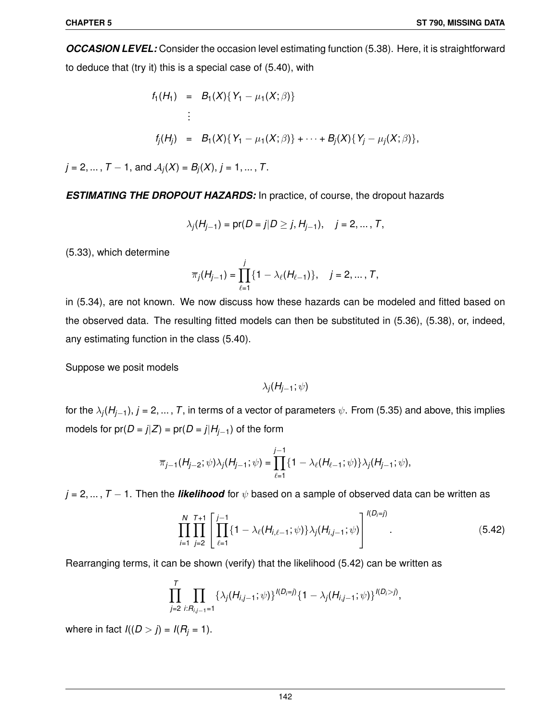*OCCASION LEVEL:* Consider the occasion level estimating function (5.38). Here, it is straightforward to deduce that (try it) this is a special case of (5.40), with

$$
f_1(H_1) = B_1(X) \{ Y_1 - \mu_1(X; \beta) \}
$$
  
 
$$
\vdots
$$
  
\n
$$
f_j(H_j) = B_1(X) \{ Y_1 - \mu_1(X; \beta) \} + \cdots + B_j(X) \{ Y_j - \mu_j(X; \beta) \},
$$

 $j = 2, ..., T - 1$ , and  $A_j(X) = B_j(X)$ ,  $j = 1, ..., T$ .

*ESTIMATING THE DROPOUT HAZARDS:* In practice, of course, the dropout hazards

$$
\lambda_j(H_{j-1}) = pr(D = j | D \ge j, H_{j-1}), \quad j = 2, ..., T,
$$

(5.33), which determine

$$
\overline{\pi}_j(H_{j-1}) = \prod_{\ell=1}^j \{1 - \lambda_\ell(H_{\ell-1})\}, \quad j = 2, \dots, T,
$$

in (5.34), are not known. We now discuss how these hazards can be modeled and fitted based on the observed data. The resulting fitted models can then be substituted in (5.36), (5.38), or, indeed, any estimating function in the class (5.40).

Suppose we posit models

λ*j* (*Hj*−1; ψ)

for the λ*<sup>j</sup>* (*Hj*−1), *j* = 2, ... , *T*, in terms of a vector of parameters ψ. From (5.35) and above, this implies models for  $pr(D = j|Z) = pr(D = j|H_{j-1})$  of the form

$$
\overline{\pi}_{j-1}(H_{j-2};\psi)\lambda_j(H_{j-1};\psi)=\prod_{\ell=1}^{j-1}\{1-\lambda_\ell(H_{\ell-1};\psi)\}\lambda_j(H_{j-1};\psi),
$$

 $j = 2, ..., T - 1$ . Then the *likelihood* for  $\psi$  based on a sample of observed data can be written as

$$
\prod_{i=1}^{N} \prod_{j=2}^{T+1} \left[ \prod_{\ell=1}^{j-1} \{1 - \lambda_{\ell}(H_{i,\ell-1}; \psi)\} \lambda_j(H_{i,j-1}; \psi) \right]^{I(D_i=j)}.
$$
\n(5.42)

Rearranging terms, it can be shown (verify) that the likelihood (5.42) can be written as

$$
\prod_{j=2}^{T} \prod_{i: R_{i,j-1}=1} \{\lambda_j(H_{i,j-1};\psi)\}^{I(D_i=j)} \{1-\lambda_j(H_{i,j-1};\psi)\}^{I(D_i>j)},
$$

where in fact  $I((D > j) = I(R_j = 1)$ .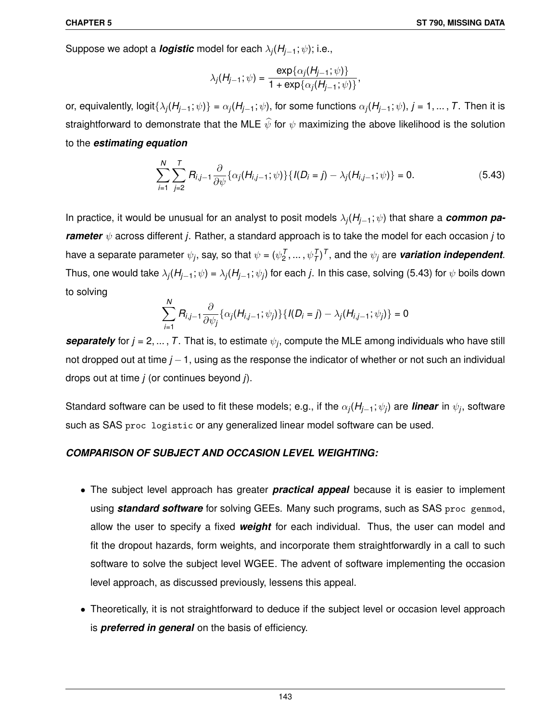Suppose we adopt a *logistic* model for each λ*<sup>j</sup>* (*Hj*−1; ψ); i.e.,

$$
\lambda_j(H_{j-1}; \psi) = \frac{\exp{\{\alpha_j(H_{j-1}; \psi)\}}}{1 + \exp{\{\alpha_j(H_{j-1}; \psi)\}}},
$$

or, equivalently, logit $\{\lambda_j(H_{j-1};\psi)\}=\alpha_j(H_{j-1};\psi)$ , for some functions  $\alpha_j(H_{j-1};\psi),$   $j=1,...,$   $T.$  Then it is straightforward to demonstrate that the MLE  $\widehat{\psi}$  for  $\psi$  maximizing the above likelihood is the solution to the *estimating equation*

$$
\sum_{i=1}^{N} \sum_{j=2}^{T} R_{i,j-1} \frac{\partial}{\partial \psi} \{ \alpha_j (H_{i,j-1}; \psi) \} \{ I(D_i = j) - \lambda_j (H_{i,j-1}; \psi) \} = 0.
$$
 (5.43)

In practice, it would be unusual for an analyst to posit models λ*<sup>j</sup>* (*Hj*−1; ψ) that share a *common parameter* ψ across different *j*. Rather, a standard approach is to take the model for each occasion *j* to have a separate parameter  $\psi_j$ , say, so that  $\psi=(\psi_2^{\mathcal{T}},\ldots,\psi_T^{\mathcal{T}})^{\mathcal{T}}$ , and the  $\psi_j$  are *variation independent*. Thus, one would take  $\lambda_j(H_{j-1}; \psi) = \lambda_j(H_{j-1}; \psi_j)$  for each  $j.$  In this case, solving (5.43) for  $\psi$  boils down to solving

$$
\sum_{i=1}^N R_{i,j-1} \frac{\partial}{\partial \psi_j} \{ \alpha_j(H_{i,j-1}; \psi_j) \} \{ I(D_i = j) - \lambda_j(H_{i,j-1}; \psi_j) \} = 0
$$

*separately* for  $j = 2, ..., T$ . That is, to estimate  $\psi_j$ , compute the MLE among individuals who have still not dropped out at time *j* −1, using as the response the indicator of whether or not such an individual drops out at time *j* (or continues beyond *j*).

Standard software can be used to fit these models; e.g., if the α*<sup>j</sup>* (*Hj*−1; ψ*<sup>j</sup>* ) are *linear* in ψ*<sup>j</sup>* , software such as SAS proc logistic or any generalized linear model software can be used.

#### *COMPARISON OF SUBJECT AND OCCASION LEVEL WEIGHTING:*

- The subject level approach has greater *practical appeal* because it is easier to implement using *standard software* for solving GEEs. Many such programs, such as SAS proc genmod, allow the user to specify a fixed *weight* for each individual. Thus, the user can model and fit the dropout hazards, form weights, and incorporate them straightforwardly in a call to such software to solve the subject level WGEE. The advent of software implementing the occasion level approach, as discussed previously, lessens this appeal.
- Theoretically, it is not straightforward to deduce if the subject level or occasion level approach is *preferred in general* on the basis of efficiency.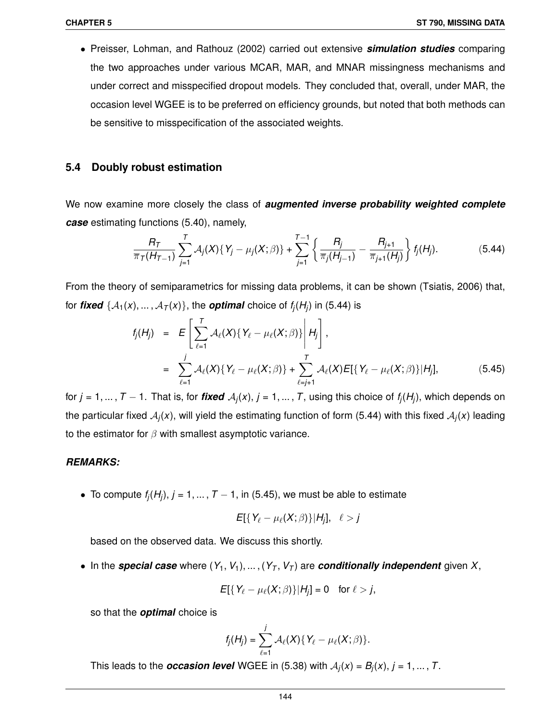• Preisser, Lohman, and Rathouz (2002) carried out extensive *simulation studies* comparing the two approaches under various MCAR, MAR, and MNAR missingness mechanisms and under correct and misspecified dropout models. They concluded that, overall, under MAR, the occasion level WGEE is to be preferred on efficiency grounds, but noted that both methods can be sensitive to misspecification of the associated weights.

# **5.4 Doubly robust estimation**

We now examine more closely the class of *augmented inverse probability weighted complete case* estimating functions (5.40), namely,

$$
\frac{R_T}{\overline{\pi}_T(H_{T-1})}\sum_{j=1}^T \mathcal{A}_j(X)\{Y_j-\mu_j(X;\beta)\}+\sum_{j=1}^{T-1}\left\{\frac{R_j}{\overline{\pi}_j(H_{j-1})}-\frac{R_{j+1}}{\overline{\pi}_{j+1}(H_j)}\right\}f_j(H_j). \hspace{1cm} (5.44)
$$

From the theory of semiparametrics for missing data problems, it can be shown (Tsiatis, 2006) that, for  $\textit{fixed} \,\, \{\mathcal{A}_1(\mathsf{x}), \ldots, \mathcal{A}_T(\mathsf{x})\},$  the  $\textit{optimal}$  choice of  $f_j(H_j)$  in (5.44) is

$$
f_j(H_j) = E\left[\sum_{\ell=1}^T \mathcal{A}_{\ell}(X)\{Y_{\ell} - \mu_{\ell}(X;\beta)\}\middle|H_j\right],
$$
  
= 
$$
\sum_{\ell=1}^j \mathcal{A}_{\ell}(X)\{Y_{\ell} - \mu_{\ell}(X;\beta)\} + \sum_{\ell=j+1}^T \mathcal{A}_{\ell}(X)E[\{Y_{\ell} - \mu_{\ell}(X;\beta)\}|H_j],
$$
(5.45)

for  $j = 1, ..., T-1$ . That is, for *fixed*  $\mathcal{A}_j(x)$ *,*  $j = 1, ..., T$ *,* using this choice of  $f_j(H_j)$ , which depends on the particular fixed  $A_j(x)$ , will yield the estimating function of form (5.44) with this fixed  $A_j(x)$  leading to the estimator for  $\beta$  with smallest asymptotic variance.

# *REMARKS:*

• To compute  $f_j(H_j)$ ,  $j = 1, ..., T - 1$ , in (5.45), we must be able to estimate

$$
E[{Y_{\ell} - \mu_{\ell}(X;\beta)}|H_j], \ell > j
$$

based on the observed data. We discuss this shortly.

• In the *special case* where  $(Y_1, V_1), \ldots, (Y_T, V_T)$  are *conditionally independent* given X,

$$
E[\{Y_{\ell}-\mu_{\ell}(X;\beta)\}|H_j]=0 \text{ for } \ell>j,
$$

so that the *optimal* choice is

$$
f_j(H_j) = \sum_{\ell=1}^j \mathcal{A}_\ell(X) \{ Y_\ell - \mu_\ell(X;\beta) \}.
$$

This leads to the *occasion level* WGEE in (5.38) with  $A_j(x) = B_j(x)$ ,  $j = 1, ..., T$ .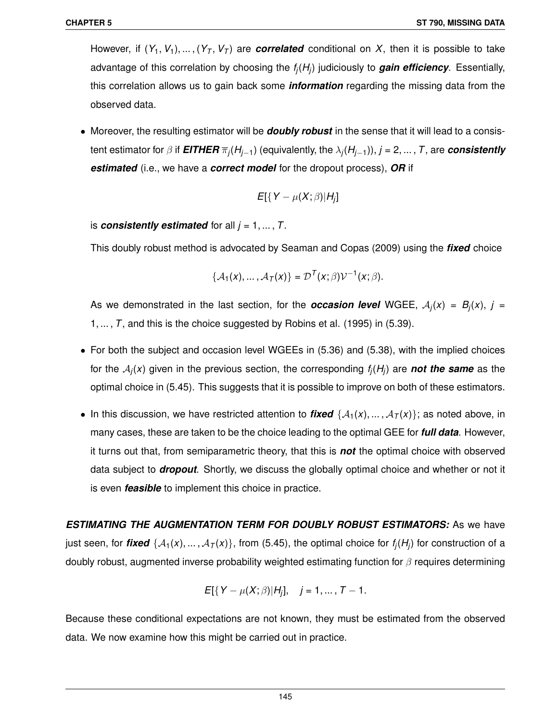However, if  $(Y_1, V_1), ..., (Y_T, V_T)$  are **correlated** conditional on X, then it is possible to take advantage of this correlation by choosing the *f<sup>j</sup>* (*H<sup>j</sup>* ) judiciously to *gain efficiency*. Essentially, this correlation allows us to gain back some *information* regarding the missing data from the observed data.

• Moreover, the resulting estimator will be *doubly robust* in the sense that it will lead to a consistent estimator for β if *EITHER* π*<sup>j</sup>* (*Hj*−1) (equivalently, the λ*<sup>j</sup>* (*Hj*−1)), *j* = 2, ... , *T*, are *consistently estimated* (i.e., we have a *correct model* for the dropout process), *OR* if

$$
E[\{Y-\mu(X;\beta)|H_j]\}
$$

is *consistently estimated* for all  $j = 1, ..., T$ .

This doubly robust method is advocated by Seaman and Copas (2009) using the *fixed* choice

$$
\{\mathcal{A}_1(x),\ldots,\mathcal{A}_T(x)\}=\mathcal{D}^T(x;\beta)\mathcal{V}^{-1}(x;\beta).
$$

As we demonstrated in the last section, for the *occasion level* WGEE,  $A_j(x) = B_j(x)$ ,  $j =$ 1, ... , *T*, and this is the choice suggested by Robins et al. (1995) in (5.39).

- For both the subject and occasion level WGEEs in (5.36) and (5.38), with the implied choices for the A*<sup>j</sup>* (*x*) given in the previous section, the corresponding *f<sup>j</sup>* (*H<sup>j</sup>* ) are *not the same* as the optimal choice in (5.45). This suggests that it is possible to improve on both of these estimators.
- In this discussion, we have restricted attention to *fixed*  $\{A_1(x),...,A_T(x)\}$ ; as noted above, in many cases, these are taken to be the choice leading to the optimal GEE for *full data*. However, it turns out that, from semiparametric theory, that this is *not* the optimal choice with observed data subject to *dropout*. Shortly, we discuss the globally optimal choice and whether or not it is even *feasible* to implement this choice in practice.

*ESTIMATING THE AUGMENTATION TERM FOR DOUBLY ROBUST ESTIMATORS:* As we have just seen, for  $\bm{fixed}$   $\{A_1(x), \dots, A_T(x)\}$ , from (5.45), the optimal choice for  $f_j(H_j)$  for construction of a doubly robust, augmented inverse probability weighted estimating function for  $\beta$  requires determining

$$
E[{Y - \mu(X;\beta)|H_j]}, \quad j = 1, ..., T - 1.
$$

Because these conditional expectations are not known, they must be estimated from the observed data. We now examine how this might be carried out in practice.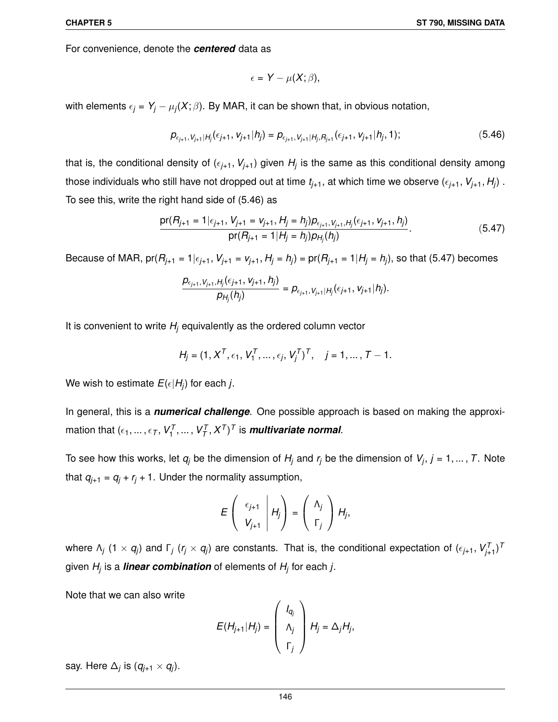For convenience, denote the *centered* data as

$$
\epsilon = Y - \mu(X; \beta),
$$

with elements  $\epsilon_j$  =  $\mathsf{Y}_j - \mu_j(\mathsf{X};\beta).$  By MAR, it can be shown that, in obvious notation,

$$
\rho_{\epsilon_{j+1}, V_{j+1} | H_j}(\epsilon_{j+1}, V_{j+1} | h_j) = \rho_{\epsilon_{j+1}, V_{j+1} | H_j, R_{j+1}}(\epsilon_{j+1}, V_{j+1} | h_j, 1); \tag{5.46}
$$

that is, the conditional density of ( $\epsilon_{j+1}, V_{j+1}$ ) given  $H_j$  is the same as this conditional density among those individuals who still have not dropped out at time  $t_{j+1},$  at which time we observe  $(\epsilon_{j+1}, V_{j+1}, H_j)$  . To see this, write the right hand side of (5.46) as

$$
\frac{\text{pr}(R_{j+1} = 1 | \epsilon_{j+1}, V_{j+1} = V_{j+1}, H_j = h_j) p_{\epsilon_{j+1}, V_{j+1}, H_j}(\epsilon_{j+1}, V_{j+1}, h_j)}{\text{pr}(R_{j+1} = 1 | H_j = h_j) p_{H_j}(h_j)}.
$$
\n(5.47)

Because of MAR,  $pr(R_{j+1} = 1 | \epsilon_{j+1}, V_{j+1} = v_{j+1}, H_j = h_j) = pr(R_{j+1} = 1 | H_j = h_j)$ , so that (5.47) becomes

$$
\frac{p_{\epsilon_{j+1},V_{j+1},H_j}(\epsilon_{j+1},V_{j+1},h_j)}{p_{H_j}(h_j)}=p_{\epsilon_{j+1},V_{j+1}|H_j}(\epsilon_{j+1},V_{j+1}|h_j).
$$

It is convenient to write *H<sup>j</sup>* equivalently as the ordered column vector

$$
H_j = (1, X^T, \epsilon_1, V_1^T, \dots, \epsilon_j, V_j^T)^T, \quad j = 1, \dots, T - 1.
$$

We wish to estimate  $E(\epsilon|H_{j})$  for each *j*.

In general, this is a *numerical challenge*. One possible approach is based on making the approximation that  $(\epsilon_1, ..., \epsilon_T, V_1^{\mathcal{T}}, ..., V_{\mathcal{T}}^{\mathcal{T}}, X^{\mathcal{T}})^{\mathcal{T}}$  is *multivariate normal*.

To see how this works, let *q<sup>j</sup>* be the dimension of *H<sup>j</sup>* and *r<sup>j</sup>* be the dimension of *V<sup>j</sup>* , *j* = 1, ... , *T*. Note that  $q_{i+1} = q_i + r_i + 1$ . Under the normality assumption,

$$
E\left(\begin{array}{c} \epsilon_{j+1} \\ V_{j+1} \end{array} \middle| H_j\right) = \left(\begin{array}{c} \Lambda_j \\ \Gamma_j \end{array} \right) H_j,
$$

where  $\Lambda_j$  (1  $\times$   $q_j$ ) and  $\Gamma_j$  ( $r_j\times q_j$ ) are constants. That is, the conditional expectation of ( $\epsilon_{j+1},$   $V_{j+1}^{\mathcal{T}})^\mathcal{T}$ given *H<sup>j</sup>* is a *linear combination* of elements of *H<sup>j</sup>* for each *j*.

Note that we can also write

$$
E(H_{j+1}|H_j) = \left(\begin{array}{c} I_{q_j} \\ \Lambda_j \\ \Gamma_j \end{array}\right) H_j = \Delta_j H_j,
$$

say. Here  $\Delta_j$  is  $(q_{j+1} \times q_j)$ .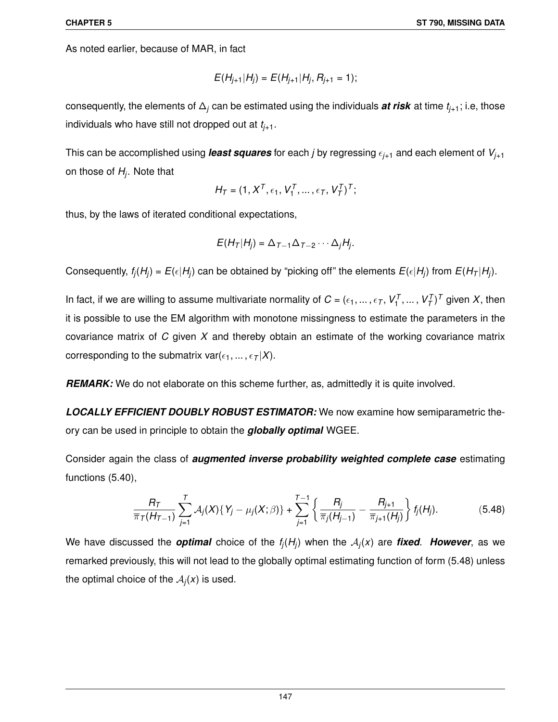As noted earlier, because of MAR, in fact

$$
E(H_{j+1}|H_j) = E(H_{j+1}|H_j, R_{j+1} = 1);
$$

consequently, the elements of ∆*<sup>j</sup>* can be estimated using the individuals *at risk* at time *tj*+1; i.e, those individuals who have still not dropped out at *tj*+1.

This can be accomplished using *least squares* for each *j* by regressing  $\epsilon_{j+1}$  and each element of  $V_{j+1}$ on those of *H<sup>j</sup>* . Note that

$$
H_T=(1,X^T,\epsilon_1,V_1^T,\ldots,\epsilon_T,V_T^T)^T;
$$

thus, by the laws of iterated conditional expectations,

$$
E(H_T|H_j) = \Delta_{T-1}\Delta_{T-2}\cdots\Delta_jH_j.
$$

Consequently,  $f_j(H_j) = E(\epsilon|H_j)$  can be obtained by "picking off" the elements  $E(\epsilon|H_j)$  from  $E(H_T|H_j)$ .

In fact, if we are willing to assume multivariate normality of  $C = (\epsilon_1, ..., \epsilon_T, V_1^T, ..., V_T^T)^T$  given X, then it is possible to use the EM algorithm with monotone missingness to estimate the parameters in the covariance matrix of *C* given *X* and thereby obtain an estimate of the working covariance matrix corresponding to the submatrix  $var(\epsilon_1, ..., \epsilon_T | X)$ .

*REMARK:* We do not elaborate on this scheme further, as, admittedly it is quite involved.

*LOCALLY EFFICIENT DOUBLY ROBUST ESTIMATOR:* We now examine how semiparametric theory can be used in principle to obtain the *globally optimal* WGEE.

Consider again the class of *augmented inverse probability weighted complete case* estimating functions (5.40),

$$
\frac{R_T}{\overline{\pi}_T(H_{T-1})}\sum_{j=1}^T \mathcal{A}_j(X)\{Y_j-\mu_j(X;\beta)\}+\sum_{j=1}^{T-1}\left\{\frac{R_j}{\overline{\pi}_j(H_{j-1})}-\frac{R_{j+1}}{\overline{\pi}_{j+1}(H_j)}\right\}f_j(H_j). \hspace{1cm} (5.48)
$$

We have discussed the *optimal* choice of the  $f_j(H_j)$  when the  $\mathcal{A}_j(x)$  are *fixed*. However, as we remarked previously, this will not lead to the globally optimal estimating function of form (5.48) unless the optimal choice of the  $A_j(x)$  is used.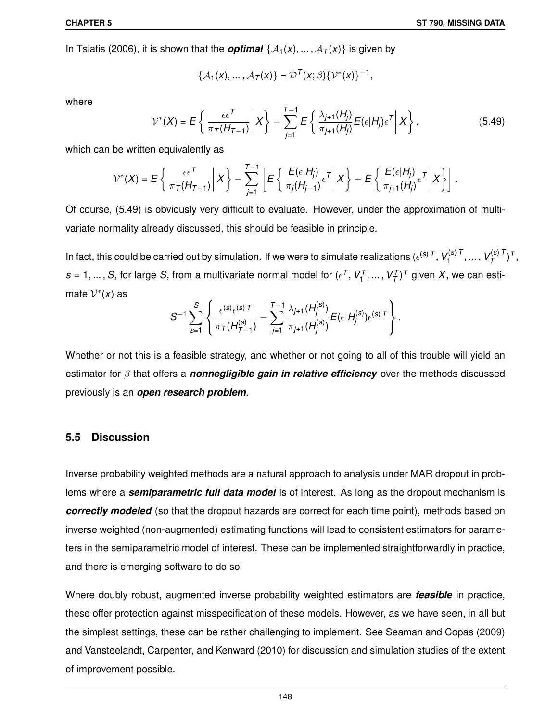In Tsiatis (2006), it is shown that the *optimal*  $\{A_1(x),...,A_T(x)\}$  is given by

$$
\left\{\mathcal{A}_1(x),\ldots,\mathcal{A}_T(x)\right\}=\mathcal{D}^T(x;\beta)\left\{\mathcal{V}^*(x)\right\}^{-1},
$$

where

$$
\mathcal{V}^*(X) = E\left\{\left.\frac{\epsilon\epsilon^T}{\overline{\pi}_T(H_{T-1})}\right|X\right\} - \sum_{j=1}^{T-1} E\left\{\left.\frac{\lambda_{j+1}(H_j)}{\overline{\pi}_{j+1}(H_j)}E(\epsilon|H_j)\epsilon^T\right|X\right\},\tag{5.49}
$$

which can be written equivalently as

$$
\mathcal{V}^*(X) = E\left\{\left.\frac{\epsilon\epsilon^{\mathsf{T}}}{\overline{\pi}_{\mathsf{T}}(H_{\mathsf{T}-1})}\right|X\right\} - \sum_{j=1}^{\mathsf{T}-1}\left[E\left\{\left.\frac{E(\epsilon|H_j)}{\overline{\pi}_{j}(H_{j-1})}\epsilon^{\mathsf{T}}\right|X\right\} - E\left\{\left.\frac{E(\epsilon|H_j)}{\overline{\pi}_{j+1}(H_j)}\epsilon^{\mathsf{T}}\right|X\right\}\right].
$$

Of course, (5.49) is obviously very difficult to evaluate. However, under the approximation of multivariate normality already discussed, this should be feasible in principle.

In fact, this could be carried out by simulation. If we were to simulate realizations ( $\epsilon^{(\textbf{s}) \; T}$ ,  $V^{(\textbf{s}) \; T}_1$ 1 , ... , *V* (*s*) *T T* ) *T* ,  $s = 1, ..., S$ , for large *S*, from a multivariate normal model for  $(\epsilon^T, V_1^T, ..., V_T^T)^T$  given *X*, we can estimate  $V^*(x)$  as

$$
S^{-1}\sum_{s=1}^S\left\{\frac{\epsilon^{(s)}\epsilon^{(s)\,T}}{\pi_{{\mathcal{T}}}(H_{{\mathcal{T}}-1}^{(s)})}-\sum_{j=1}^{T-1}\frac{\lambda_{j+1}(H_j^{(s)})}{\pi_{j+1}(H_j^{(s)})}E(\epsilon|H_j^{(s)})\epsilon^{(s)\,T}\right\}.
$$

Whether or not this is a feasible strategy, and whether or not going to all of this trouble will yield an estimator for β that offers a *nonnegligible gain in relative efficiency* over the methods discussed previously is an *open research problem*.

# **5.5 Discussion**

Inverse probability weighted methods are a natural approach to analysis under MAR dropout in problems where a *semiparametric full data model* is of interest. As long as the dropout mechanism is *correctly modeled* (so that the dropout hazards are correct for each time point), methods based on inverse weighted (non-augmented) estimating functions will lead to consistent estimators for parameters in the semiparametric model of interest. These can be implemented straightforwardly in practice, and there is emerging software to do so.

Where doubly robust, augmented inverse probability weighted estimators are *feasible* in practice, these offer protection against misspecification of these models. However, as we have seen, in all but the simplest settings, these can be rather challenging to implement. See Seaman and Copas (2009) and Vansteelandt, Carpenter, and Kenward (2010) for discussion and simulation studies of the extent of improvement possible.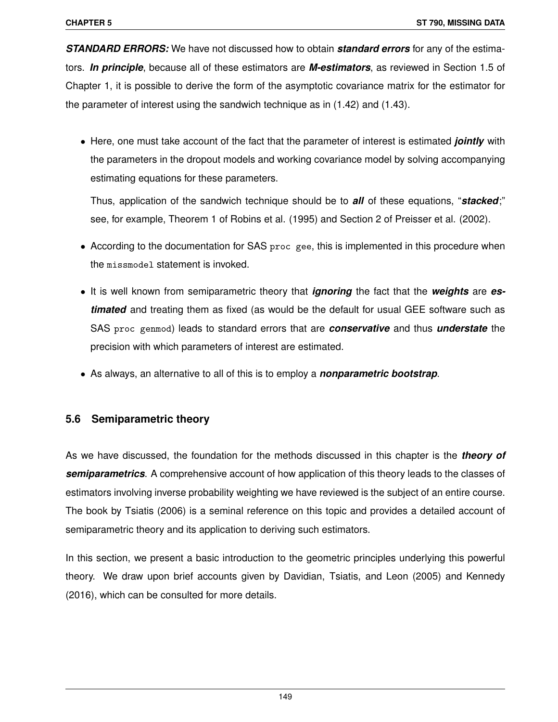*STANDARD ERRORS:* We have not discussed how to obtain *standard errors* for any of the estimators. *In principle*, because all of these estimators are *M-estimators*, as reviewed in Section 1.5 of Chapter 1, it is possible to derive the form of the asymptotic covariance matrix for the estimator for the parameter of interest using the sandwich technique as in (1.42) and (1.43).

• Here, one must take account of the fact that the parameter of interest is estimated *jointly* with the parameters in the dropout models and working covariance model by solving accompanying estimating equations for these parameters.

Thus, application of the sandwich technique should be to *all* of these equations, "*stacked*;" see, for example, Theorem 1 of Robins et al. (1995) and Section 2 of Preisser et al. (2002).

- According to the documentation for SAS proc gee, this is implemented in this procedure when the missmodel statement is invoked.
- It is well known from semiparametric theory that *ignoring* the fact that the *weights* are *estimated* and treating them as fixed (as would be the default for usual GEE software such as SAS proc genmod) leads to standard errors that are *conservative* and thus *understate* the precision with which parameters of interest are estimated.
- As always, an alternative to all of this is to employ a *nonparametric bootstrap*.

# **5.6 Semiparametric theory**

As we have discussed, the foundation for the methods discussed in this chapter is the *theory of semiparametrics*. A comprehensive account of how application of this theory leads to the classes of estimators involving inverse probability weighting we have reviewed is the subject of an entire course. The book by Tsiatis (2006) is a seminal reference on this topic and provides a detailed account of semiparametric theory and its application to deriving such estimators.

In this section, we present a basic introduction to the geometric principles underlying this powerful theory. We draw upon brief accounts given by Davidian, Tsiatis, and Leon (2005) and Kennedy (2016), which can be consulted for more details.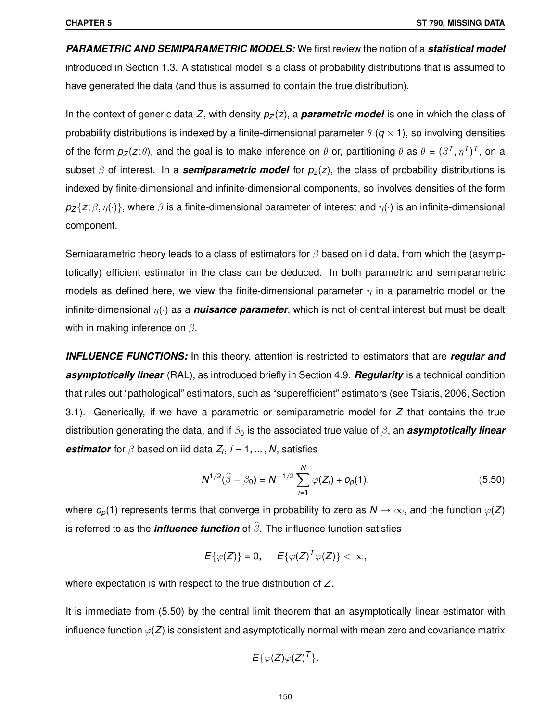*PARAMETRIC AND SEMIPARAMETRIC MODELS:* We first review the notion of a *statistical model* introduced in Section 1.3. A statistical model is a class of probability distributions that is assumed to have generated the data (and thus is assumed to contain the true distribution).

In the context of generic data *Z*, with density  $p_7(z)$ , a **parametric model** is one in which the class of probability distributions is indexed by a finite-dimensional parameter  $\theta$  ( $q \times 1$ ), so involving densities of the form  $p_Z(z;\theta),$  and the goal is to make inference on  $\theta$  or, partitioning  $\theta$  as  $\theta=(\beta^T,\eta^T)^T,$  on a subset  $\beta$  of interest. In a **semiparametric model** for  $p_z(z)$ , the class of probability distributions is indexed by finite-dimensional and infinite-dimensional components, so involves densities of the form  $p_Z{z;\beta,\eta(\cdot)}$ , where  $\beta$  is a finite-dimensional parameter of interest and  $\eta(\cdot)$  is an infinite-dimensional component.

Semiparametric theory leads to a class of estimators for  $\beta$  based on iid data, from which the (asymptotically) efficient estimator in the class can be deduced. In both parametric and semiparametric models as defined here, we view the finite-dimensional parameter  $\eta$  in a parametric model or the infinite-dimensional η(·) as a *nuisance parameter*, which is not of central interest but must be dealt with in making inference on  $\beta$ .

*INFLUENCE FUNCTIONS:* In this theory, attention is restricted to estimators that are *regular and asymptotically linear* (RAL), as introduced briefly in Section 4.9. *Regularity* is a technical condition that rules out "pathological" estimators, such as "superefficient" estimators (see Tsiatis, 2006, Section 3.1). Generically, if we have a parametric or semiparametric model for *Z* that contains the true distribution generating the data, and if  $\beta_0$  is the associated true value of  $\beta$ , an **asymptotically linear** *estimator* for β based on iid data *Z<sup>i</sup>* , *i* = 1, ... , *N*, satisfies

$$
N^{1/2}(\widehat{\beta} - \beta_0) = N^{-1/2} \sum_{i=1}^{N} \varphi(Z_i) + o_p(1), \qquad (5.50)
$$

where  $o_p(1)$  represents terms that converge in probability to zero as  $N \to \infty$ , and the function  $\varphi(Z)$ is referred to as the *influence function* of  $\widehat{\beta}$ . The influence function satisfies

 $E\{\varphi(Z)\} = 0, \quad E\{\varphi(Z)^T\varphi(Z)\} < \infty,$ 

where expectation is with respect to the true distribution of *Z*.

It is immediate from (5.50) by the central limit theorem that an asymptotically linear estimator with influence function  $\varphi(Z)$  is consistent and asymptotically normal with mean zero and covariance matrix

$$
E\{\varphi(Z)\varphi(Z)^T\}.
$$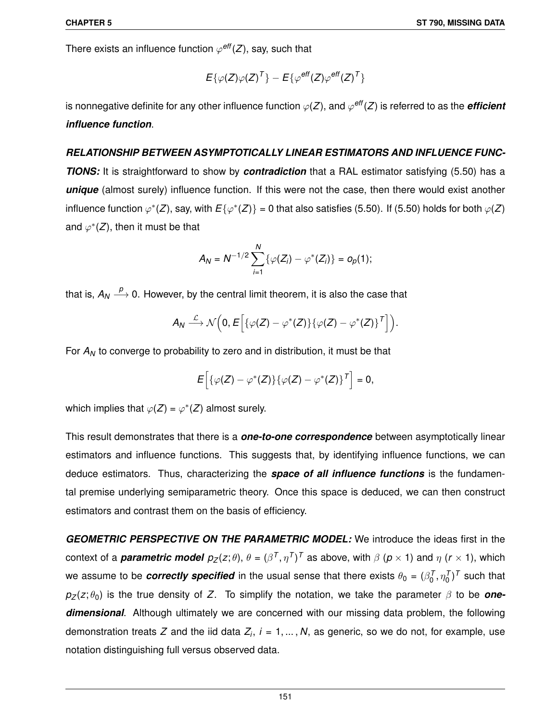There exists an influence function  $\varphi^\textit{eff}(Z)$ , say, such that

$$
E\{\varphi(Z)\varphi(Z)^{T}\}-E\{\varphi^{\text{eff}}(Z)\varphi^{\text{eff}}(Z)^{T}\}
$$

is nonnegative definite for any other influence function  $\varphi(Z)$ , and  $\varphi^\textit{eff}(Z)$  is referred to as the *efficient influence function*.

# *RELATIONSHIP BETWEEN ASYMPTOTICALLY LINEAR ESTIMATORS AND INFLUENCE FUNC-*

*TIONS:* It is straightforward to show by *contradiction* that a RAL estimator satisfying (5.50) has a *unique* (almost surely) influence function. If this were not the case, then there would exist another influence function  $\varphi^*(Z)$ , say, with  $E\{\varphi^*(Z)\} = 0$  that also satisfies (5.50). If (5.50) holds for both  $\varphi(Z)$ and  $\varphi^*(Z)$ , then it must be that

$$
A_N = N^{-1/2} \sum_{i=1}^N \{ \varphi(Z_i) - \varphi^*(Z_i) \} = o_p(1);
$$

that is,  $A_N \stackrel{p}{\longrightarrow} 0$ . However, by the central limit theorem, it is also the case that

$$
A_N \stackrel{\mathcal{L}}{\longrightarrow} \mathcal{N}\Big(0, E\Big[\{\varphi(Z) - \varphi^*(Z)\}\{\varphi(Z) - \varphi^*(Z)\}^{\mathsf{T}}\Big]\Big).
$$

For  $A_N$  to converge to probability to zero and in distribution, it must be that

$$
E\left[\{\varphi(Z)-\varphi^*(Z)\}\{\varphi(Z)-\varphi^*(Z)\}^T\right]=0,
$$

which implies that  $\varphi(Z) = \varphi^*(Z)$  almost surely.

This result demonstrates that there is a *one-to-one correspondence* between asymptotically linear estimators and influence functions. This suggests that, by identifying influence functions, we can deduce estimators. Thus, characterizing the *space of all influence functions* is the fundamental premise underlying semiparametric theory. Once this space is deduced, we can then construct estimators and contrast them on the basis of efficiency.

*GEOMETRIC PERSPECTIVE ON THE PARAMETRIC MODEL:* We introduce the ideas first in the context of a *parametric model*  $p_Z(z;\theta),\ \theta=(\beta^T,\eta^T)^T$  as above, with  $\beta$  ( $p\times$  1) and  $\eta$  ( $r\times$  1), which we assume to be *correctly specified* in the usual sense that there exists  $\theta_0 = (\beta_0^{\mathcal{T}}, \eta_0^{\mathcal{T}})^{\mathcal{T}}$  such that  $p_Z(z; \theta_0)$  is the true density of Z. To simplify the notation, we take the parameter  $\beta$  to be **one***dimensional*. Although ultimately we are concerned with our missing data problem, the following demonstration treats *Z* and the iid data *Z<sup>i</sup>* , *i* = 1, ... , *N*, as generic, so we do not, for example, use notation distinguishing full versus observed data.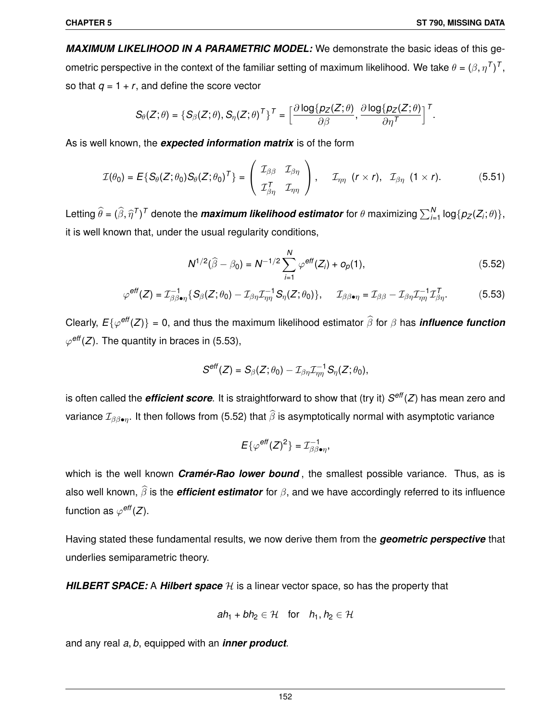*MAXIMUM LIKELIHOOD IN A PARAMETRIC MODEL:* We demonstrate the basic ideas of this geometric perspective in the context of the familiar setting of maximum likelihood. We take  $\theta = (\beta, \eta^{\sf \scriptscriptstyle T})^{\sf \scriptscriptstyle T}$ , so that  $q = 1 + r$ , and define the score vector

$$
S_{\theta}(Z;\theta) = \{S_{\beta}(Z;\theta), S_{\eta}(Z;\theta)^T\}^T = \left[\frac{\partial \log\{p_Z(Z;\theta)\}}{\partial \beta}, \frac{\partial \log\{p_Z(Z;\theta)\}}{\partial \eta^T}\right]^T.
$$

As is well known, the *expected information matrix* is of the form

$$
\mathcal{I}(\theta_0) = E\{S_{\theta}(Z;\theta_0)S_{\theta}(Z;\theta_0)^T\} = \begin{pmatrix} \mathcal{I}_{\beta\beta} & \mathcal{I}_{\beta\eta} \\ \mathcal{I}_{\beta\eta}^T & \mathcal{I}_{\eta\eta} \end{pmatrix}, \quad \mathcal{I}_{\eta\eta} \ (r \times r), \ \mathcal{I}_{\beta\eta} \ (1 \times r). \tag{5.51}
$$

Letting  $\widehat{\theta} = (\widehat{\beta}, \widehat{\eta}^T)^T$  denote the *maximum likelihood estimator* for  $\theta$  maximizing  $\sum_{i=1}^N \log\{p_Z(Z_i;\theta)\},$ it is well known that, under the usual regularity conditions,

$$
N^{1/2}(\widehat{\beta} - \beta_0) = N^{-1/2} \sum_{i=1}^{N} \varphi^{eff}(Z_i) + o_p(1),
$$
 (5.52)

$$
\varphi^{\text{eff}}(Z) = \mathcal{I}_{\beta\beta\bullet\eta}^{-1} \{ S_{\beta}(Z;\theta_0) - \mathcal{I}_{\beta\eta}\mathcal{I}_{\eta\eta}^{-1} S_{\eta}(Z;\theta_0) \}, \quad \mathcal{I}_{\beta\beta\bullet\eta} = \mathcal{I}_{\beta\beta} - \mathcal{I}_{\beta\eta}\mathcal{I}_{\eta\eta}^{-1}\mathcal{I}_{\beta\eta}^T. \tag{5.53}
$$

Clearly,  $E\{\varphi^\mathsf{eff}(Z)\}=0$ , and thus the maximum likelihood estimator  $\widehat{\beta}$  for  $\beta$  has *influence function*  $\varphi^\textit{eff}(Z)$ . The quantity in braces in (5.53),

$$
S^{\text{eff}}(Z) = S_{\beta}(Z; \theta_0) - \mathcal{I}_{\beta\eta}\mathcal{I}_{\eta\eta}^{-1} S_{\eta}(Z; \theta_0),
$$

is often called the *efficient score*. It is straightforward to show that (try it) *S eff*(*Z*) has mean zero and variance  $\mathcal{I}_{\beta\beta\bullet\eta}$ . It then follows from (5.52) that  $\widehat{\beta}$  is asymptotically normal with asymptotic variance

$$
E\{\varphi^{\text{eff}}(Z)^2\}=\mathcal{I}_{\beta\beta\bullet\eta}^{-1},
$$

which is the well known *Cramer-Rao lower bound*, the smallest possible variance. Thus, as is also well known,  $\widehat{\beta}$  is the *efficient estimator* for  $\beta$ , and we have accordingly referred to its influence function as  $\varphi^\textit{eff}(Z)$ .

Having stated these fundamental results, we now derive them from the *geometric perspective* that underlies semiparametric theory.

**HILBERT SPACE:** A **Hilbert space**  $H$  is a linear vector space, so has the property that

$$
ah_1 + bh_2 \in \mathcal{H} \quad \text{for} \quad h_1, h_2 \in \mathcal{H}
$$

and any real *a*, *b*, equipped with an *inner product*.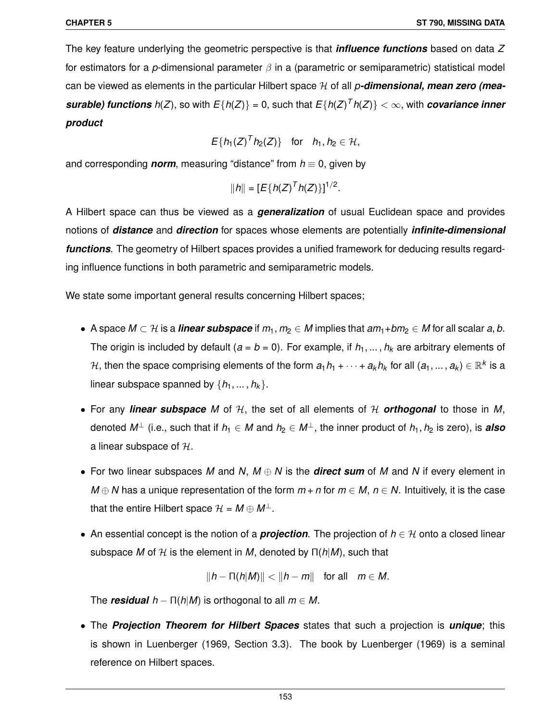The key feature underlying the geometric perspective is that *influence functions* based on data *Z* for estimators for a *p*-dimensional parameter β in a (parametric or semiparametric) statistical model can be viewed as elements in the particular Hilbert space H of all *p-dimensional, mean zero (measurable) functions h*(*Z*), so with  $E\{h(Z)\} = 0$ , such that  $E\{h(Z)^T h(Z)\} < \infty$ , with *covariance inner product*

$$
E\{h_1(Z)^{T}h_2(Z)\} \quad \text{for} \quad h_1, h_2 \in \mathcal{H},
$$

and corresponding *norm*, measuring "distance" from  $h \equiv 0$ , given by

$$
||h|| = [E\{h(Z)^T h(Z)\}]^{1/2}.
$$

A Hilbert space can thus be viewed as a *generalization* of usual Euclidean space and provides notions of *distance* and *direction* for spaces whose elements are potentially *infinite-dimensional functions*. The geometry of Hilbert spaces provides a unified framework for deducing results regarding influence functions in both parametric and semiparametric models.

We state some important general results concerning Hilbert spaces;

- A space  $M \subset \mathcal{H}$  is a *linear subspace* if  $m_1, m_2 \in M$  implies that  $am_1 + bm_2 \in M$  for all scalar  $a, b$ . The origin is included by default ( $a = b = 0$ ). For example, if  $h_1, \ldots, h_k$  are arbitrary elements of  $H$ , then the space comprising elements of the form  $a_1h_1+\cdots+a_kh_k$  for all  $(a_1,...\,,a_k)\in\mathbb{R}^k$  is a linear subspace spanned by  $\{h_1, ..., h_k\}$ .
- For any *linear subspace* M of  $H$ , the set of all elements of  $H$  *orthogonal* to those in M, denoted  $M^{\perp}$  (i.e., such that if  $h_1 \in M$  and  $h_2 \in M^{\perp}$ , the inner product of  $h_1, h_2$  is zero), is **also** a linear subspace of  $H$ .
- For two linear subspaces *M* and *N*, *M* ⊕ *N* is the *direct sum* of *M* and *N* if every element in *M* ⊕ *N* has a unique representation of the form  $m + n$  for  $m \in M$ ,  $n \in N$ . Intuitively, it is the case that the entire Hilbert space  $\mathcal{H} = M \oplus M^{\perp}$ .
- An essential concept is the notion of a *projection*. The projection of  $h \in \mathcal{H}$  onto a closed linear subspace *M* of  $H$  is the element in *M*, denoted by  $\Pi(h|M)$ , such that

$$
||h - \Pi(h|M)|| < ||h - m|| \quad \text{for all} \quad m \in M.
$$

The *residual*  $h - \Pi(h|M)$  is orthogonal to all  $m \in M$ .

• The *Projection Theorem for Hilbert Spaces* states that such a projection is *unique*; this is shown in Luenberger (1969, Section 3.3). The book by Luenberger (1969) is a seminal reference on Hilbert spaces.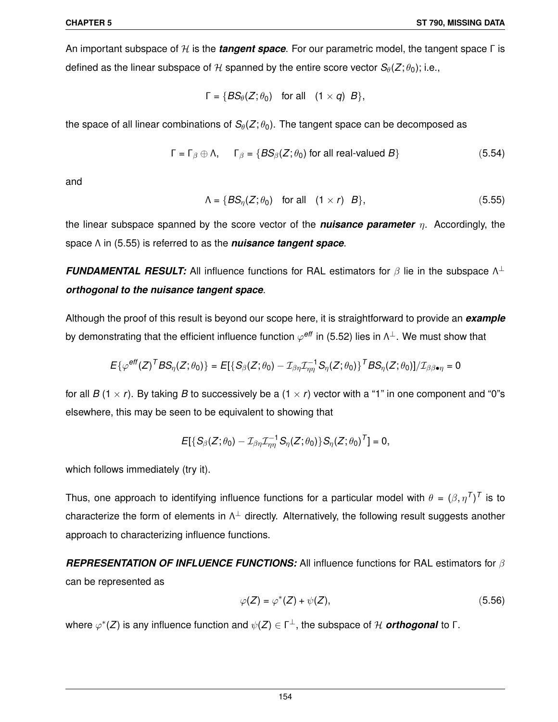An important subspace of H is the *tangent space*. For our parametric model, the tangent space Γ is defined as the linear subspace of H spanned by the entire score vector  $S_{\theta}(Z; \theta_0)$ ; i.e.,

$$
\Gamma = \{BS_{\theta}(Z; \theta_0) \text{ for all } (1 \times q) B\},\
$$

the space of all linear combinations of  $S_{\theta}(Z; \theta_0)$ . The tangent space can be decomposed as

$$
\Gamma = \Gamma_{\beta} \oplus \Lambda, \qquad \Gamma_{\beta} = \{BS_{\beta}(Z; \theta_0) \text{ for all real-valued } B\}
$$
 (5.54)

and

$$
\Lambda = \{BS_{\eta}(Z; \theta_0) \text{ for all } (1 \times r) B\},\tag{5.55}
$$

the linear subspace spanned by the score vector of the *nuisance parameter* η. Accordingly, the space Λ in (5.55) is referred to as the *nuisance tangent space*.

**FUNDAMENTAL RESULT:** All influence functions for RAL estimators for  $\beta$  lie in the subspace  $\Lambda^{\perp}$ *orthogonal to the nuisance tangent space*.

Although the proof of this result is beyond our scope here, it is straightforward to provide an *example* by demonstrating that the efficient influence function  $\varphi^\textit{eff}$  in (5.52) lies in  $\Lambda^\perp.$  We must show that

$$
E\{\varphi^\text{eff}(Z)^TBS_\eta(Z;\theta_0)\}=E[\{S_\beta(Z;\theta_0)-\mathcal{I}_{\beta\eta}\mathcal{I}_{\eta\eta}^{-1}S_\eta(Z;\theta_0)\}^TBS_\eta(Z;\theta_0)]/\mathcal{I}_{\beta\beta\bullet\eta}=0
$$

for all *B* (1  $\times$  *r*). By taking *B* to successively be a (1  $\times$  *r*) vector with a "1" in one component and "0"s elsewhere, this may be seen to be equivalent to showing that

$$
E[\{S_{\beta}(Z;\theta_0)-\mathcal{I}_{\beta\eta}\mathcal{I}_{\eta\eta}^{-1}S_{\eta}(Z;\theta_0)\}S_{\eta}(Z;\theta_0)^T]=0,
$$

which follows immediately (try it).

Thus, one approach to identifying influence functions for a particular model with  $\theta = (\beta, \eta^T)^T$  is to characterize the form of elements in  $\Lambda^\perp$  directly. Alternatively, the following result suggests another approach to characterizing influence functions.

*REPRESENTATION OF INFLUENCE FUNCTIONS:* All influence functions for RAL estimators for β can be represented as

$$
\varphi(Z) = \varphi^*(Z) + \psi(Z),\tag{5.56}
$$

where ϕ ∗ (*Z*) is any influence function and ψ(*Z*) ∈ Γ <sup>⊥</sup>, the subspace of H *orthogonal* to Γ.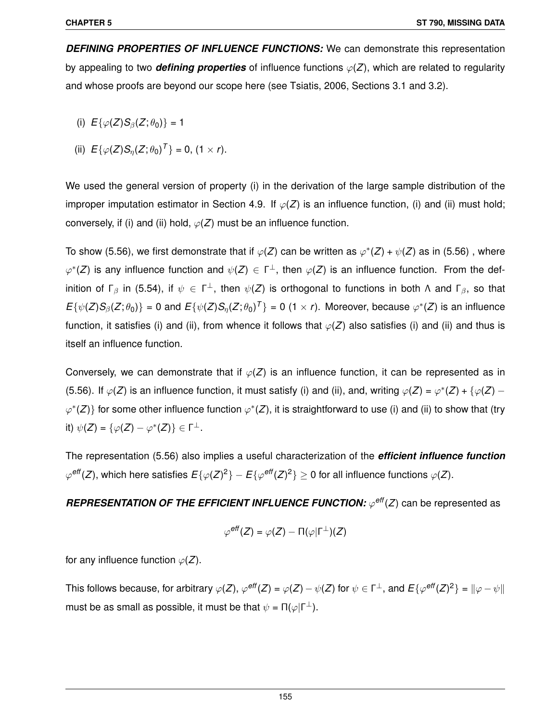*DEFINING PROPERTIES OF INFLUENCE FUNCTIONS:* We can demonstrate this representation by appealing to two **defining properties** of influence functions  $\varphi(Z)$ , which are related to regularity and whose proofs are beyond our scope here (see Tsiatis, 2006, Sections 3.1 and 3.2).

- (i)  $E{\phi(Z)S_{\beta}(Z;\theta_0)} = 1$
- (ii)  $E\{\varphi(Z)S_{\eta}(Z;\theta_0)^T\} = 0$ ,  $(1 \times r)$ .

We used the general version of property (i) in the derivation of the large sample distribution of the improper imputation estimator in Section 4.9. If  $\varphi(Z)$  is an influence function, (i) and (ii) must hold; conversely, if (i) and (ii) hold,  $\varphi(Z)$  must be an influence function.

To show (5.56), we first demonstrate that if  $\varphi(Z)$  can be written as  $\varphi^*(Z)$  +  $\psi(Z)$  as in (5.56), where  $\varphi^*(Z)$  is any influence function and  $\psi(Z) \in \Gamma^{\perp}$ , then  $\varphi(Z)$  is an influence function. From the definition of Γ<sub>β</sub> in (5.54), if  $\psi\,\in\,\mathsf{\Gamma}^\perp$ , then  $\psi(Z)$  is orthogonal to functions in both Λ and Γ<sub>β</sub>, so that  $E\{\psi(Z)S_\beta(Z;\theta_0)\}=0$  and  $E\{\psi(Z)S_\eta(Z;\theta_0)^T\}=0$  (1 × *r*). Moreover, because  $\varphi^*(Z)$  is an influence function, it satisfies (i) and (ii), from whence it follows that  $\varphi(Z)$  also satisfies (i) and (ii) and thus is itself an influence function.

Conversely, we can demonstrate that if  $\varphi(Z)$  is an influence function, it can be represented as in (5.56). If  $\varphi(Z)$  is an influence function, it must satisfy (i) and (ii), and, writing  $\varphi(Z) = \varphi^*(Z) + {\varphi(Z) - \varphi(Z)}$  $\varphi^*(Z)$ } for some other influence function  $\varphi^*(Z)$ , it is straightforward to use (i) and (ii) to show that (try it)  $\psi(Z) = {\varphi(Z) - \varphi^*(Z)} \in \Gamma^{\perp}$ .

The representation (5.56) also implies a useful characterization of the *efficient influence function*  $\varphi^{\mathsf{eff}}(Z)$ , which here satisfies  $E\{\varphi(Z)^2\}-E\{\varphi^{\mathsf{eff}}(Z)^2\}\geq 0$  for all influence functions  $\varphi(Z).$ 

# *REPRESENTATION OF THE EFFICIENT INFLUENCE FUNCTION:*  $\varphi$ *<sup>eff</sup>(Z) can be represented as*

$$
\varphi^\textit{eff}(Z) = \varphi(Z) - \Pi(\varphi|\Gamma^\perp)(Z)
$$

for any influence function  $\varphi(Z)$ .

This follows because, for arbitrary  $\varphi(Z)$ ,  $\varphi^\textit{eff}(Z) = \varphi(Z) - \psi(Z)$  for  $\psi \in \Gamma^\perp$ , and  $E\{\varphi^\textit{eff}(Z)^2\} = \|\varphi - \psi\|$ must be as small as possible, it must be that  $\psi = \Pi(\varphi | \Gamma^{\perp}).$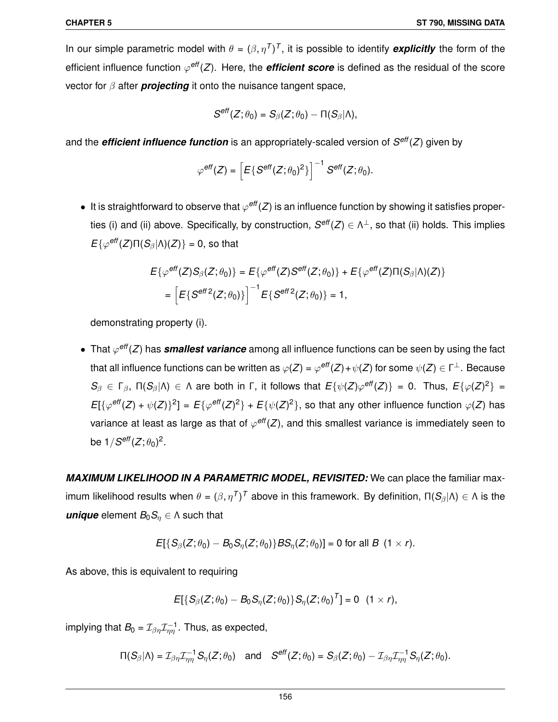In our simple parametric model with  $\theta = (\beta, \eta^T)^T$ , it is possible to identify *explicitly* the form of the efficient influence function  $\varphi^\textit{eff}(Z)$ . Here, the *efficient score* is defined as the residual of the score vector for β after *projecting* it onto the nuisance tangent space,

$$
S^{\text{eff}}(Z;\theta_0) = S_\beta(Z;\theta_0) - \Pi(S_\beta|\Lambda),
$$

and the *efficient influence function* is an appropriately-scaled version of *S eff*(*Z*) given by

$$
\varphi^{\text{eff}}(Z) = \left[ E \{ S^{\text{eff}}(Z; \theta_0)^2 \} \right]^{-1} S^{\text{eff}}(Z; \theta_0).
$$

 $\bullet\;$  It is straightforward to observe that  $\varphi^\textit{eff}(Z)$  is an influence function by showing it satisfies properties (i) and (ii) above. Specifically, by construction, *S eff*(*Z*) ∈ Λ <sup>⊥</sup>, so that (ii) holds. This implies *E*{ $\varphi$ <sup>eff</sup>(*Z*)Π(*S*<sub>β</sub>|Λ)(*Z*)} = 0, so that

$$
E\{\varphi^{\text{eff}}(Z)S_{\beta}(Z;\theta_0)\} = E\{\varphi^{\text{eff}}(Z)S^{\text{eff}}(Z;\theta_0)\} + E\{\varphi^{\text{eff}}(Z)\Pi(S_{\beta}|\Lambda)(Z)\}
$$
  
= 
$$
\left[E\{S^{\text{eff 2}}(Z;\theta_0)\}\right]^{-1} E\{S^{\text{eff 2}}(Z;\theta_0)\} = 1,
$$

demonstrating property (i).

 $\bullet$  That  $\varphi^\textit{eff}(Z)$  has *smallest variance* among all influence functions can be seen by using the fact that all influence functions can be written as  $\varphi(Z)$  =  $\varphi^\textit{eff}(Z)$  +  $\psi(Z)$  for some  $\psi(Z)\in \Gamma^\perp.$  Because *S*<sub>β</sub> ∈ Γ<sub>β</sub>, Π(*S*<sub>β</sub>|Λ) ∈ Λ are both in Γ, it follows that  $E\{\psi(Z) \varphi^{eff}(Z)\} = 0$ . Thus,  $E\{\varphi(Z)^2\} =$  $E[\{\varphi^{\text{eff}}(Z) + \psi(Z)\}^2] = E\{\varphi^{\text{eff}}(Z)^2\} + E\{\psi(Z)^2\}$ , so that any other influence function  $\varphi(Z)$  has variance at least as large as that of  $\varphi^\textit{eff}(Z)$ , and this smallest variance is immediately seen to be  $1/S^\textit{eff}(Z;\theta_0)^2$ .

*MAXIMUM LIKELIHOOD IN A PARAMETRIC MODEL, REVISITED:* We can place the familiar maximum likelihood results when  $\theta=(\beta,\eta^{\sf \, T})^{\sf \, T}$  above in this framework. By definition, Π( $\cal S_\beta$ |Λ)  $\in$  Λ is the *unique* element  $B_0S_n \in \Lambda$  such that

$$
E[{S}_{\beta}(Z;\theta_0)-B_0S_{\eta}(Z;\theta_0)]BS_{\eta}(Z;\theta_0)]=0 \text{ for all } B \text{ } (1 \times r).
$$

As above, this is equivalent to requiring

$$
E[{S_{\beta}(Z;\theta_0)-B_0S_{\eta}(Z;\theta_0)}S_{\eta}(Z;\theta_0)^T]=0 \ (1 \times r),
$$

implying that  $B_0 = \mathcal{I}_{\beta\eta}\mathcal{I}_{\eta\eta}^{-1}$ . Thus, as expected,

$$
\Pi(S_{\beta}|\Lambda)=\mathcal{I}_{\beta\eta}\mathcal{I}_{\eta\eta}^{-1}S_{\eta}(Z;\theta_0)\quad\text{and}\quad S^{\text{eff}}(Z;\theta_0)=S_{\beta}(Z;\theta_0)-\mathcal{I}_{\beta\eta}\mathcal{I}_{\eta\eta}^{-1}S_{\eta}(Z;\theta_0).
$$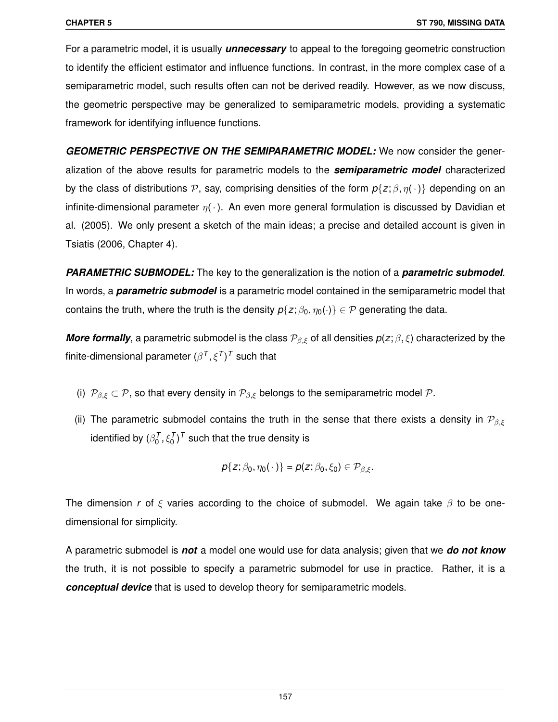For a parametric model, it is usually *unnecessary* to appeal to the foregoing geometric construction to identify the efficient estimator and influence functions. In contrast, in the more complex case of a semiparametric model, such results often can not be derived readily. However, as we now discuss, the geometric perspective may be generalized to semiparametric models, providing a systematic framework for identifying influence functions.

*GEOMETRIC PERSPECTIVE ON THE SEMIPARAMETRIC MODEL:* We now consider the generalization of the above results for parametric models to the *semiparametric model* characterized by the class of distributions P, say, comprising densities of the form  $p\{z;\beta,\eta(\cdot)\}$  depending on an infinite-dimensional parameter  $\eta(\cdot)$ . An even more general formulation is discussed by Davidian et al. (2005). We only present a sketch of the main ideas; a precise and detailed account is given in Tsiatis (2006, Chapter 4).

*PARAMETRIC SUBMODEL:* The key to the generalization is the notion of a *parametric submodel*. In words, a *parametric submodel* is a parametric model contained in the semiparametric model that contains the truth, where the truth is the density  $p\{z; \beta_0, \eta_0(\cdot)\}\in \mathcal{P}$  generating the data.

*More formally*, a parametric submodel is the class  $\mathcal{P}_{\beta,\xi}$  of all densities  $p(z;\beta,\xi)$  characterized by the finite-dimensional parameter  $(\beta^{\textit{T}},\xi^{\textit{T}})^{\textit{T}}$  such that

- (i)  $\mathcal{P}_{\beta,\xi} \subset \mathcal{P}$ , so that every density in  $\mathcal{P}_{\beta,\xi}$  belongs to the semiparametric model  $\mathcal{P}$ .
- (ii) The parametric submodel contains the truth in the sense that there exists a density in  $\mathcal{P}_{\beta,\xi}$ identified by  $(\beta_0^{\mathcal{T}},\xi_0^{\mathcal{T}})^{\mathcal{T}}$  such that the true density is

$$
p\{z;\beta_0,\eta_0(\,\cdot\,)\}=p(z;\beta_0,\xi_0)\in\mathcal{P}_{\beta,\xi}.
$$

The dimension *r* of  $\xi$  varies according to the choice of submodel. We again take  $\beta$  to be onedimensional for simplicity.

A parametric submodel is *not* a model one would use for data analysis; given that we *do not know* the truth, it is not possible to specify a parametric submodel for use in practice. Rather, it is a *conceptual device* that is used to develop theory for semiparametric models.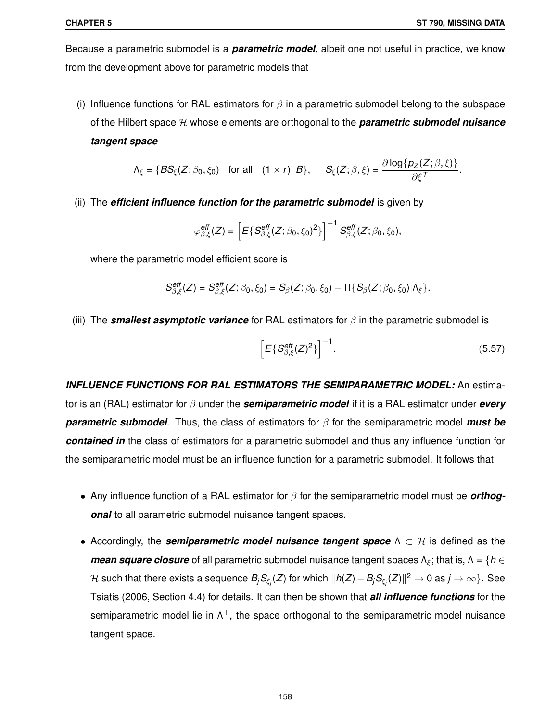Because a parametric submodel is a *parametric model*, albeit one not useful in practice, we know from the development above for parametric models that

(i) Influence functions for RAL estimators for  $\beta$  in a parametric submodel belong to the subspace of the Hilbert space H whose elements are orthogonal to the *parametric submodel nuisance tangent space*

$$
\Lambda_{\xi} = \{ BS_{\xi}(Z; \beta_0, \xi_0) \text{ for all } (1 \times r) B \}, \quad S_{\xi}(Z; \beta, \xi) = \frac{\partial \log \{ p_Z(Z; \beta, \xi) \}}{\partial \xi^T}.
$$

(ii) The *efficient influence function for the parametric submodel* is given by

$$
\varphi_{\beta,\xi}^{\text{eff}}(Z) = \left[ E\{S_{\beta,\xi}^{\text{eff}}(Z;\beta_0,\xi_0)^2\} \right]^{-1} S_{\beta,\xi}^{\text{eff}}(Z;\beta_0,\xi_0),
$$

where the parametric model efficient score is

$$
S_{\beta,\xi}^{\text{eff}}(Z)=S_{\beta,\xi}^{\text{eff}}(Z;\beta_0,\xi_0)=S_{\beta}(Z;\beta_0,\xi_0)-\Pi\{S_{\beta}(Z;\beta_0,\xi_0)|\Lambda_{\xi}\}.
$$

(iii) The *smallest asymptotic variance* for RAL estimators for β in the parametric submodel is

$$
\left[E\{S_{\beta,\xi}^{\text{eff}}(Z)^2\}\right]^{-1}.\tag{5.57}
$$

*INFLUENCE FUNCTIONS FOR RAL ESTIMATORS THE SEMIPARAMETRIC MODEL:* An estimator is an (RAL) estimator for β under the *semiparametric model* if it is a RAL estimator under *every parametric submodel*. Thus, the class of estimators for β for the semiparametric model *must be contained in* the class of estimators for a parametric submodel and thus any influence function for the semiparametric model must be an influence function for a parametric submodel. It follows that

- Any influence function of a RAL estimator for β for the semiparametric model must be *orthogonal* to all parametric submodel nuisance tangent spaces.
- Accordingly, the **semiparametric model nuisance tangent space**  $\Lambda \subset \mathcal{H}$  is defined as the *mean square closure* of all parametric submodel nuisance tangent spaces  $\Lambda_{\xi}$ ; that is,  $\Lambda = \{h \in$  $H$  such that there exists a sequence  $B_jS_{\xi_j}(Z)$  for which  $\|h(Z)-B_jS_{\xi_j}(Z)\|^2\to 0$  as  $j\to\infty\}.$  See Tsiatis (2006, Section 4.4) for details. It can then be shown that *all influence functions* for the semiparametric model lie in  $\Lambda^{\perp}$ , the space orthogonal to the semiparametric model nuisance tangent space.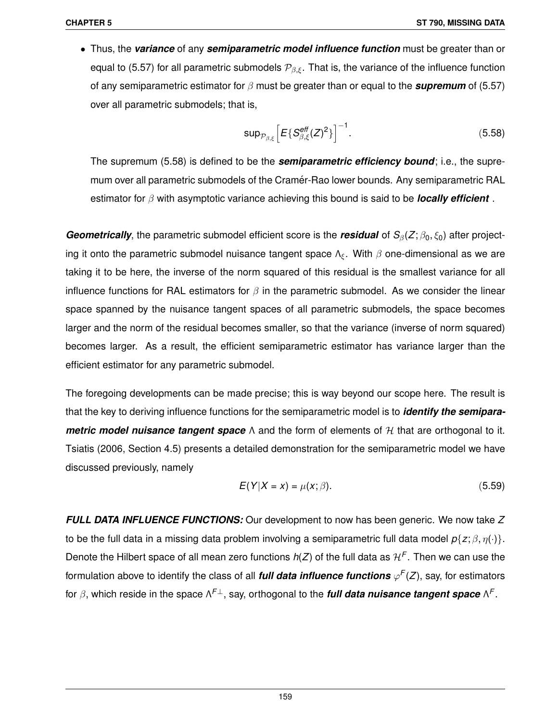• Thus, the *variance* of any *semiparametric model influence function* must be greater than or equal to (5.57) for all parametric submodels  $P_{\beta,\xi}$ . That is, the variance of the influence function of any semiparametric estimator for β must be greater than or equal to the *supremum* of (5.57) over all parametric submodels; that is,

$$
\sup_{\mathcal{P}_{\beta,\xi}} \left[ E\{S_{\beta,\xi}^{\text{eff}}(Z)^2\} \right]^{-1}.
$$
 (5.58)

The supremum (5.58) is defined to be the *semiparametric efficiency bound*; i.e., the supremum over all parametric submodels of the Cramér-Rao lower bounds. Any semiparametric RAL estimator for β with asymptotic variance achieving this bound is said to be *locally efficient* .

*Geometrically*, the parametric submodel efficient score is the *residual* of  $S_\beta(Z;\beta_0,\xi_0)$  after projecting it onto the parametric submodel nuisance tangent space  $\Lambda_{\epsilon}$ . With  $\beta$  one-dimensional as we are taking it to be here, the inverse of the norm squared of this residual is the smallest variance for all influence functions for RAL estimators for  $\beta$  in the parametric submodel. As we consider the linear space spanned by the nuisance tangent spaces of all parametric submodels, the space becomes larger and the norm of the residual becomes smaller, so that the variance (inverse of norm squared) becomes larger. As a result, the efficient semiparametric estimator has variance larger than the efficient estimator for any parametric submodel.

The foregoing developments can be made precise; this is way beyond our scope here. The result is that the key to deriving influence functions for the semiparametric model is to *identify the semiparametric model nuisance tangent space* Λ and the form of elements of *H* that are orthogonal to it. Tsiatis (2006, Section 4.5) presents a detailed demonstration for the semiparametric model we have discussed previously, namely

$$
E(Y|X = x) = \mu(x; \beta). \tag{5.59}
$$

*FULL DATA INFLUENCE FUNCTIONS:* Our development to now has been generic. We now take *Z* to be the full data in a missing data problem involving a semiparametric full data model  $p\{z;\beta,\eta(\cdot)\}$ . Denote the Hilbert space of all mean zero functions  $h(Z)$  of the full data as  $\mathcal{H}^F.$  Then we can use the formulation above to identify the class of all *full data influence functions* ϕ *F* (*Z*), say, for estimators for β, which reside in the space Λ *<sup>F</sup>*⊥, say, orthogonal to the *full data nuisance tangent space* Λ *F* .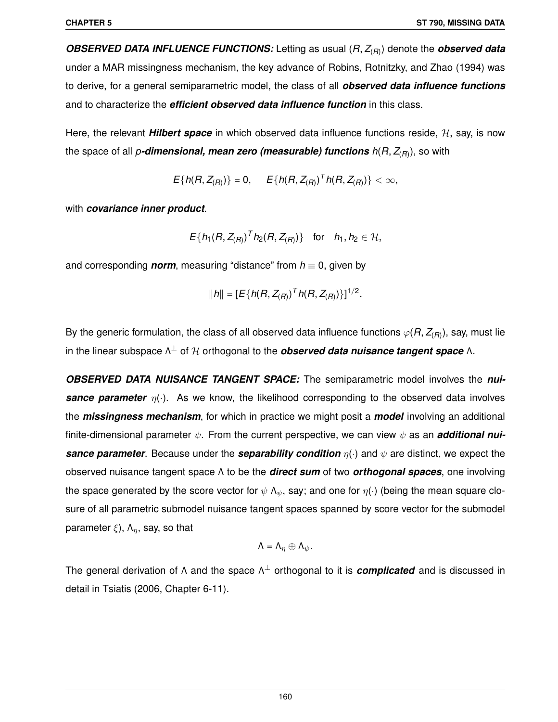*OBSERVED DATA INFLUENCE FUNCTIONS:* Letting as usual (*R*, *Z*(*R*) ) denote the *observed data* under a MAR missingness mechanism, the key advance of Robins, Rotnitzky, and Zhao (1994) was to derive, for a general semiparametric model, the class of all *observed data influence functions* and to characterize the *efficient observed data influence function* in this class.

Here, the relevant **Hilbert space** in which observed data influence functions reside, H, say, is now the space of all *p-dimensional, mean zero (measurable) functions h*(*R*, *Z*(*R*) ), so with

 $E\{h(R, Z_{(R)})\} = 0, \quad E\{h(R, Z_{(R)})^T h(R, Z_{(R)})\} < \infty,$ 

with *covariance inner product*.

$$
E\{h_1(R, Z_{(R)})^T h_2(R, Z_{(R)})\}
$$
 for  $h_1, h_2 \in \mathcal{H}$ ,

and corresponding *norm*, measuring "distance" from  $h \equiv 0$ , given by

$$
||h|| = [E\{h(R, Z_{(R)})^T h(R, Z_{(R)})\}]^{1/2}.
$$

By the generic formulation, the class of all observed data influence functions  $\varphi(R,Z_{(R)}),$  say, must lie in the linear subspace Λ <sup>⊥</sup> of H orthogonal to the *observed data nuisance tangent space* Λ.

*OBSERVED DATA NUISANCE TANGENT SPACE:* The semiparametric model involves the *nui***sance parameter**  $η(·)$ . As we know, the likelihood corresponding to the observed data involves the *missingness mechanism*, for which in practice we might posit a *model* involving an additional finite-dimensional parameter  $\psi$ . From the current perspective, we can view  $\psi$  as an **additional nui***sance parameter*. Because under the *separability condition* η(·) and ψ are distinct, we expect the observed nuisance tangent space Λ to be the *direct sum* of two *orthogonal spaces*, one involving the space generated by the score vector for  $\psi \wedge_{\psi}$ , say; and one for  $\eta(\cdot)$  (being the mean square closure of all parametric submodel nuisance tangent spaces spanned by score vector for the submodel parameter  $\xi$ ),  $\Lambda_n$ , say, so that

$$
\Lambda = \Lambda_{\eta} \oplus \Lambda_{\psi}.
$$

The general derivation of Λ and the space Λ <sup>⊥</sup> orthogonal to it is *complicated* and is discussed in detail in Tsiatis (2006, Chapter 6-11).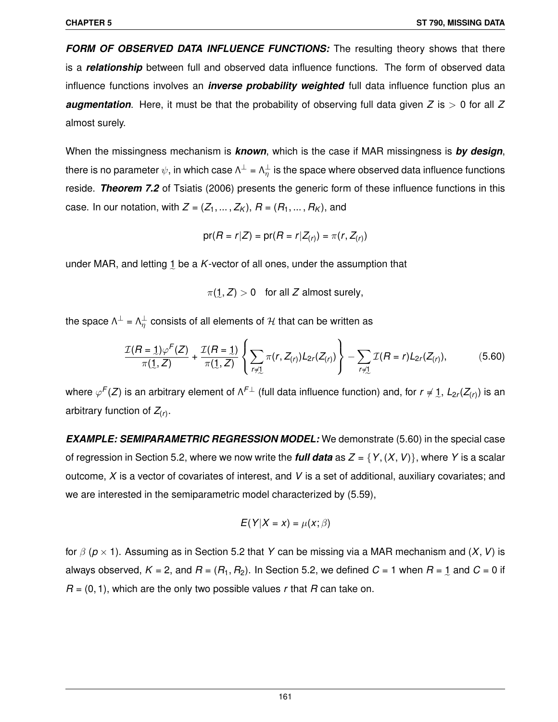*FORM OF OBSERVED DATA INFLUENCE FUNCTIONS:* The resulting theory shows that there is a *relationship* between full and observed data influence functions. The form of observed data influence functions involves an *inverse probability weighted* full data influence function plus an **augmentation**. Here, it must be that the probability of observing full data given  $Z$  is  $> 0$  for all  $Z$ almost surely.

When the missingness mechanism is *known*, which is the case if MAR missingness is *by design*, there is no parameter  $\psi,$  in which case  $\Lambda^\perp$  =  $\Lambda^\perp_\eta$  is the space where observed data influence functions reside. *Theorem 7.2* of Tsiatis (2006) presents the generic form of these influence functions in this case. In our notation, with  $Z = (Z_1, \ldots, Z_K)$ ,  $R = (R_1, \ldots, R_K)$ , and

$$
pr(R = r | Z) = pr(R = r | Z(r)) = \pi(r, Z(r))
$$

under MAR, and letting 1 be a *K*-vector of all ones, under the assumption that

 $\pi(1, Z) > 0$  for all Z almost surely,

the space  $\Lambda^{\perp}$  =  $\Lambda^{\perp}_\eta$  consists of all elements of  ${\cal H}$  that can be written as

$$
\frac{\mathcal{I}(R=1)\varphi^F(Z)}{\pi(1,Z)} + \frac{\mathcal{I}(R=1)}{\pi(1,Z)} \left\{ \sum_{r \neq 1} \pi(r,Z_{(r)}) L_{2r}(Z_{(r)}) \right\} - \sum_{r \neq 1} \mathcal{I}(R=r) L_{2r}(Z_{(r)}), \tag{5.60}
$$

e e where  $\varphi^F(Z)$  is an arbitrary element of  $\Lambda^{F\perp}$  (full data influence function) and, for  $r\neq\!\!\!\!\!\perp$ ,  $L_{2r}(Z_{(r)})$  is an arbitrary function of *Z*(*r*) .

*EXAMPLE: SEMIPARAMETRIC REGRESSION MODEL:* We demonstrate (5.60) in the special case of regression in Section 5.2, where we now write the **full data** as  $Z = \{Y, (X, V)\}\)$ , where Y is a scalar outcome, *X* is a vector of covariates of interest, and *V* is a set of additional, auxiliary covariates; and we are interested in the semiparametric model characterized by (5.59),

$$
E(Y|X = x) = \mu(x; \beta)
$$

for β (*p* × 1). Assuming as in Section 5.2 that *Y* can be missing via a MAR mechanism and (*X*,*V*) is always observed,  $K$  = 2, and  $R$  = ( $R_1, R_2$ ). In Section 5.2, we defined  $C$  = 1 when  $R$  = 1 and  $C$  = 0 if *R* = (0, 1), which are the only two possible values *r* that *R* can take on.